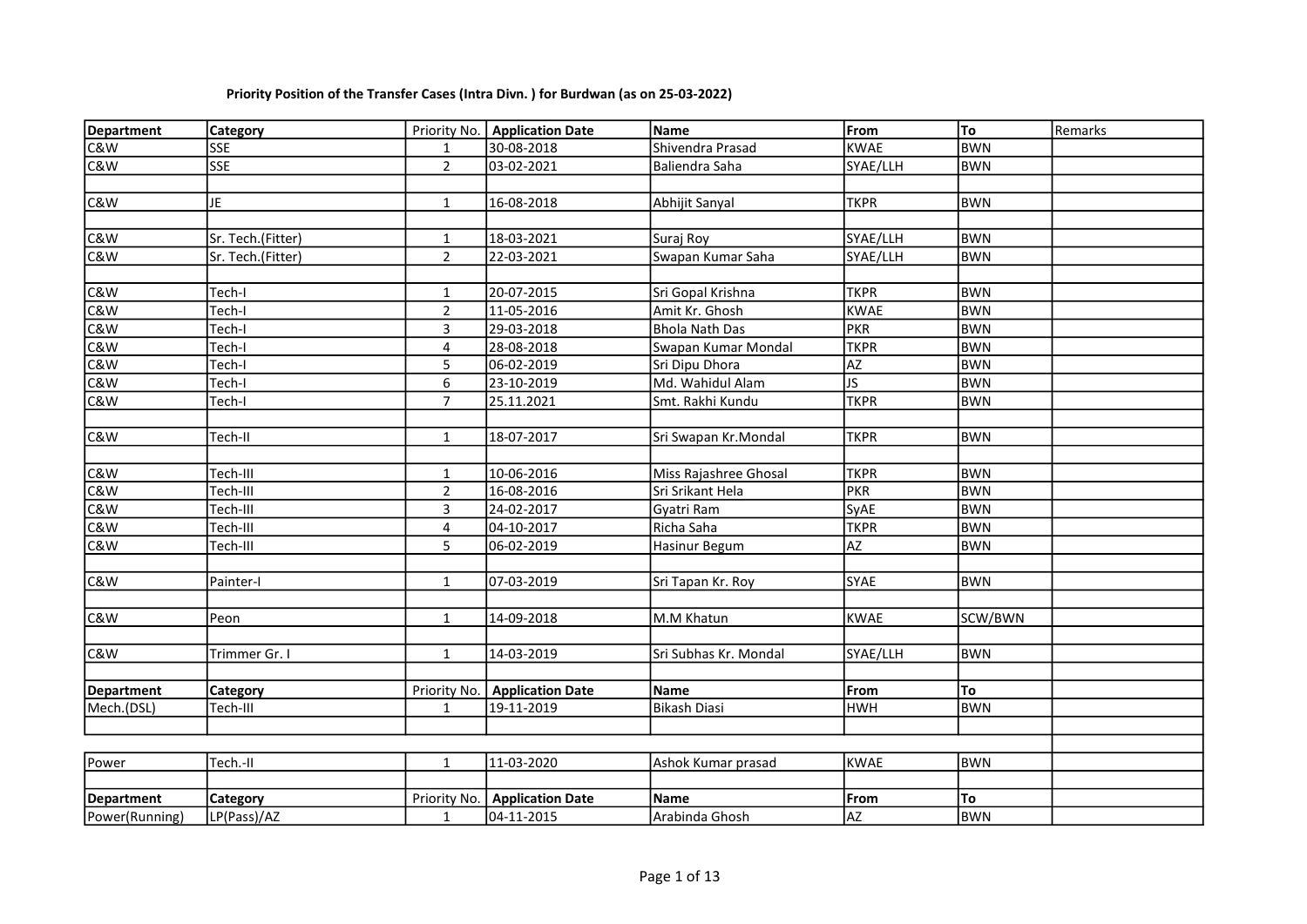| <b>Department</b> | Category          |                | Priority No.   Application Date | Name                  | From                    | To         | Remarks |
|-------------------|-------------------|----------------|---------------------------------|-----------------------|-------------------------|------------|---------|
| C&W               | SSE               | $\mathbf{1}$   | 30-08-2018                      | Shivendra Prasad      | <b>KWAE</b>             | <b>BWN</b> |         |
| C&W               | <b>SSE</b>        | $\overline{2}$ | 03-02-2021                      | Baliendra Saha        | SYAE/LLH                | <b>BWN</b> |         |
|                   |                   |                |                                 |                       |                         |            |         |
| C&W               | JΕ                | $\mathbf{1}$   | 16-08-2018                      | Abhijit Sanyal        | <b>TKPR</b>             | <b>BWN</b> |         |
|                   |                   |                |                                 |                       |                         |            |         |
| C&W               | Sr. Tech.(Fitter) | $\mathbf{1}$   | 18-03-2021                      | Suraj Roy             | SYAE/LLH                | <b>BWN</b> |         |
| C&W               | Sr. Tech.(Fitter) | $\overline{2}$ | 22-03-2021                      | Swapan Kumar Saha     | SYAE/LLH                | <b>BWN</b> |         |
|                   |                   |                |                                 |                       |                         |            |         |
| C&W               | Tech-I            | $\mathbf{1}$   | 20-07-2015                      | Sri Gopal Krishna     | <b>TKPR</b>             | <b>BWN</b> |         |
| C&W               | Tech-I            | $\overline{2}$ | 11-05-2016                      | Amit Kr. Ghosh        | <b>KWAE</b>             | <b>BWN</b> |         |
| C&W               | Tech-I            | $\mathbf{3}$   | 29-03-2018                      | <b>Bhola Nath Das</b> | <b>PKR</b>              | <b>BWN</b> |         |
| C&W               | Tech-I            | 4              | 28-08-2018                      | Swapan Kumar Mondal   | <b>TKPR</b>             | <b>BWN</b> |         |
| C&W               | Tech-I            | 5              | 06-02-2019                      | Sri Dipu Dhora        | AZ                      | <b>BWN</b> |         |
| C&W               | Tech-I            | 6              | 23-10-2019                      | Md. Wahidul Alam      | $\overline{\mathsf{S}}$ | <b>BWN</b> |         |
| C&W               | Tech-I            | $\overline{7}$ | 25.11.2021                      | Smt. Rakhi Kundu      | <b>TKPR</b>             | <b>BWN</b> |         |
|                   |                   |                |                                 |                       |                         |            |         |
| C&W               | Tech-II           | $\mathbf{1}$   | 18-07-2017                      | Sri Swapan Kr.Mondal  | <b>TKPR</b>             | <b>BWN</b> |         |
|                   |                   |                |                                 |                       |                         |            |         |
| C&W               | Tech-III          | $\mathbf{1}$   | 10-06-2016                      | Miss Rajashree Ghosal | <b>TKPR</b>             | <b>BWN</b> |         |
| C&W               | Tech-III          | $\overline{2}$ | 16-08-2016                      | Sri Srikant Hela      | <b>PKR</b>              | <b>BWN</b> |         |
| C&W               | Tech-III          | 3              | 24-02-2017                      | Gyatri Ram            | SyAE                    | <b>BWN</b> |         |
| C&W               | Tech-III          | 4              | 04-10-2017                      | Richa Saha            | <b>TKPR</b>             | <b>BWN</b> |         |
| C&W               | Tech-III          | 5              | 06-02-2019                      | Hasinur Begum         | AZ                      | <b>BWN</b> |         |
|                   |                   |                |                                 |                       |                         |            |         |
| C&W               | Painter-I         | $\mathbf{1}$   | 07-03-2019                      | Sri Tapan Kr. Roy     | SYAE                    | <b>BWN</b> |         |
|                   |                   |                |                                 |                       |                         |            |         |
| C&W               | Peon              | $\mathbf{1}$   | 14-09-2018                      | M.M Khatun            | <b>KWAE</b>             | SCW/BWN    |         |
|                   |                   |                |                                 |                       |                         |            |         |
| C&W               | Trimmer Gr. I     | $\mathbf{1}$   | 14-03-2019                      | Sri Subhas Kr. Mondal | SYAE/LLH                | <b>BWN</b> |         |
|                   |                   |                |                                 |                       |                         |            |         |
| <b>Department</b> | Category          | Priority No.   | <b>Application Date</b>         | Name                  | From                    | To         |         |
| Mech.(DSL)        | Tech-III          | $\mathbf{1}$   | 19-11-2019                      | Bikash Diasi          | <b>HWH</b>              | <b>BWN</b> |         |
|                   |                   |                |                                 |                       |                         |            |         |
|                   |                   |                |                                 |                       |                         |            |         |
| Power             | Tech.-II          | $\mathbf{1}$   | 11-03-2020                      | Ashok Kumar prasad    | <b>KWAE</b>             | <b>BWN</b> |         |
|                   |                   |                |                                 |                       |                         |            |         |
| <b>Department</b> | Category          | Priority No.   | <b>Application Date</b>         | <b>Name</b>           | From                    | To         |         |
| Power(Running)    | LP(Pass)/AZ       | $\mathbf{1}$   | 04-11-2015                      | Arabinda Ghosh        | <b>AZ</b>               | <b>BWN</b> |         |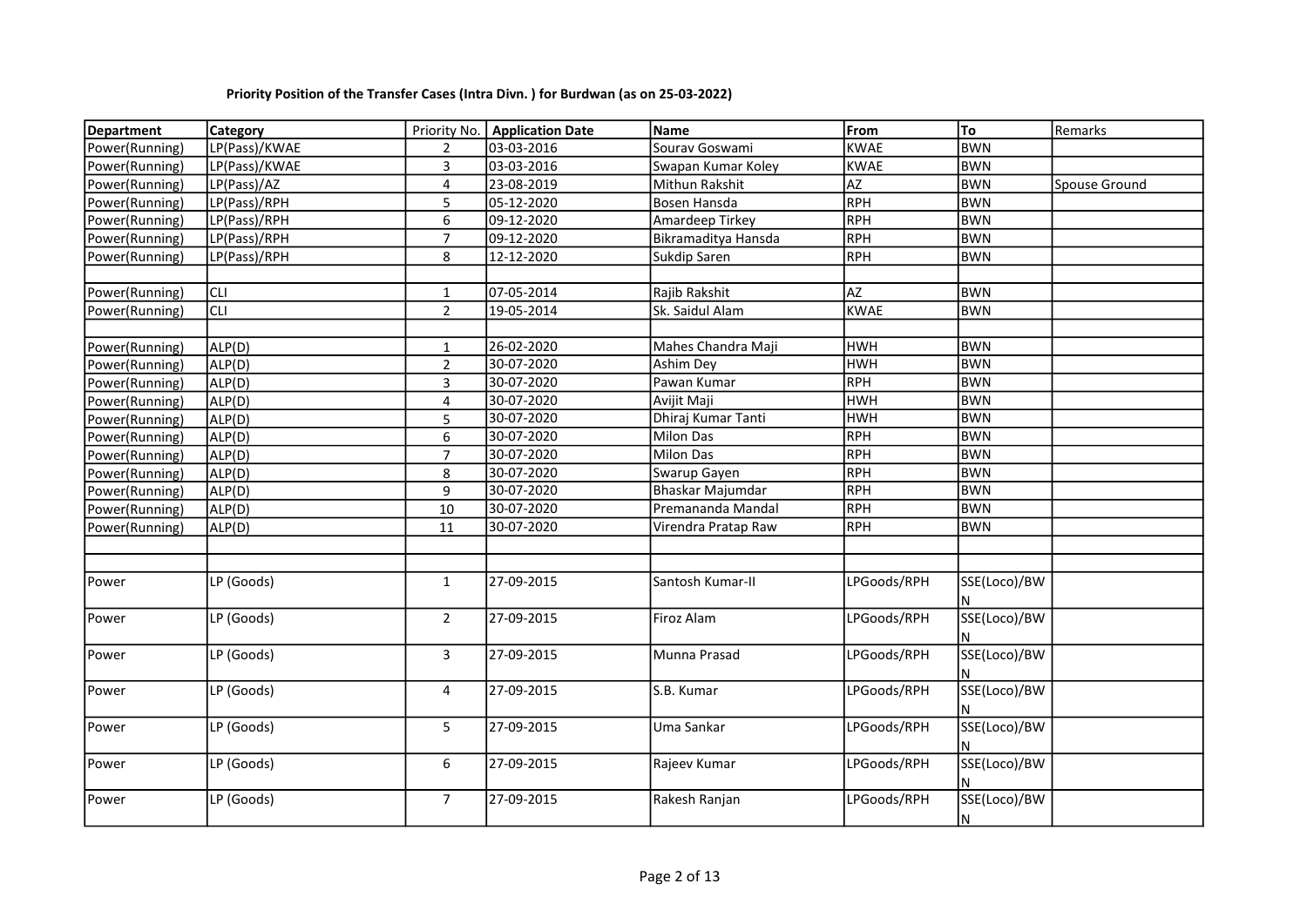| <b>Department</b> | Category      |                | Priority No.   Application Date | <b>Name</b>         | From        | To                | Remarks       |
|-------------------|---------------|----------------|---------------------------------|---------------------|-------------|-------------------|---------------|
| Power(Running)    | LP(Pass)/KWAE | 2              | 03-03-2016                      | Sourav Goswami      | <b>KWAE</b> | <b>BWN</b>        |               |
| Power(Running)    | LP(Pass)/KWAE | 3              | 03-03-2016                      | Swapan Kumar Koley  | <b>KWAE</b> | <b>BWN</b>        |               |
| Power(Running)    | LP(Pass)/AZ   | 4              | 23-08-2019                      | Mithun Rakshit      | AZ          | <b>BWN</b>        | Spouse Ground |
| Power(Running)    | LP(Pass)/RPH  | 5              | 05-12-2020                      | Bosen Hansda        | RPH         | <b>BWN</b>        |               |
| Power(Running)    | LP(Pass)/RPH  | 6              | 09-12-2020                      | Amardeep Tirkey     | RPH         | <b>BWN</b>        |               |
| Power(Running)    | LP(Pass)/RPH  | $\overline{7}$ | 09-12-2020                      | Bikramaditya Hansda | <b>RPH</b>  | <b>BWN</b>        |               |
| Power(Running)    | LP(Pass)/RPH  | 8              | 12-12-2020                      | Sukdip Saren        | RPH         | <b>BWN</b>        |               |
|                   |               |                |                                 |                     |             |                   |               |
| Power(Running)    | lсu           | 1              | 07-05-2014                      | Rajib Rakshit       | <b>AZ</b>   | <b>BWN</b>        |               |
| Power(Running)    | <b>CLI</b>    | $\overline{2}$ | 19-05-2014                      | Sk. Saidul Alam     | KWAE        | <b>BWN</b>        |               |
|                   |               |                |                                 |                     |             |                   |               |
| Power(Running)    | ALP(D)        | $\mathbf{1}$   | 26-02-2020                      | Mahes Chandra Maji  | <b>HWH</b>  | <b>BWN</b>        |               |
| Power(Running)    | ALP(D)        | $\overline{2}$ | 30-07-2020                      | Ashim Dey           | <b>HWH</b>  | <b>BWN</b>        |               |
| Power(Running)    | ALP(D)        | 3              | 30-07-2020                      | Pawan Kumar         | <b>RPH</b>  | <b>BWN</b>        |               |
| Power(Running)    | ALP(D)        | 4              | 30-07-2020                      | Avijit Maji         | <b>HWH</b>  | <b>BWN</b>        |               |
| Power(Running)    | ALP(D)        | 5              | 30-07-2020                      | Dhiraj Kumar Tanti  | <b>HWH</b>  | <b>BWN</b>        |               |
| Power(Running)    | ALP(D)        | 6              | 30-07-2020                      | <b>Milon Das</b>    | <b>RPH</b>  | <b>BWN</b>        |               |
| Power(Running)    | ALP(D)        | $\overline{7}$ | 30-07-2020                      | <b>Milon Das</b>    | RPH         | <b>BWN</b>        |               |
| Power(Running)    | ALP(D)        | 8              | 30-07-2020                      | Swarup Gayen        | RPH         | <b>BWN</b>        |               |
| Power(Running)    | ALP(D)        | 9              | 30-07-2020                      | Bhaskar Majumdar    | <b>RPH</b>  | <b>BWN</b>        |               |
| Power(Running)    | ALP(D)        | 10             | 30-07-2020                      | Premananda Mandal   | <b>RPH</b>  | <b>BWN</b>        |               |
| Power(Running)    | ALP(D)        | 11             | 30-07-2020                      | Virendra Pratap Raw | <b>RPH</b>  | <b>BWN</b>        |               |
|                   |               |                |                                 |                     |             |                   |               |
|                   |               |                |                                 |                     |             |                   |               |
| Power             | LP (Goods)    | $\mathbf{1}$   | 27-09-2015                      | Santosh Kumar-II    | LPGoods/RPH | SSE(Loco)/BW      |               |
| Power             | LP (Goods)    | $\overline{2}$ | 27-09-2015                      | Firoz Alam          | LPGoods/RPH | SSE(Loco)/BW      |               |
| Power             | LP (Goods)    | 3              | 27-09-2015                      | Munna Prasad        | LPGoods/RPH | SSE(Loco)/BW      |               |
| Power             | LP (Goods)    | $\overline{4}$ | 27-09-2015                      | S.B. Kumar          | LPGoods/RPH | SSE(Loco)/BW<br>N |               |
| Power             | LP (Goods)    | 5              | 27-09-2015                      | Uma Sankar          | LPGoods/RPH | SSE(Loco)/BW<br>и |               |
| Power             | LP (Goods)    | 6              | 27-09-2015                      | Rajeev Kumar        | LPGoods/RPH | SSE(Loco)/BW      |               |
| Power             | LP (Goods)    | $\overline{7}$ | 27-09-2015                      | Rakesh Ranjan       | LPGoods/RPH | SSE(Loco)/BW<br>N |               |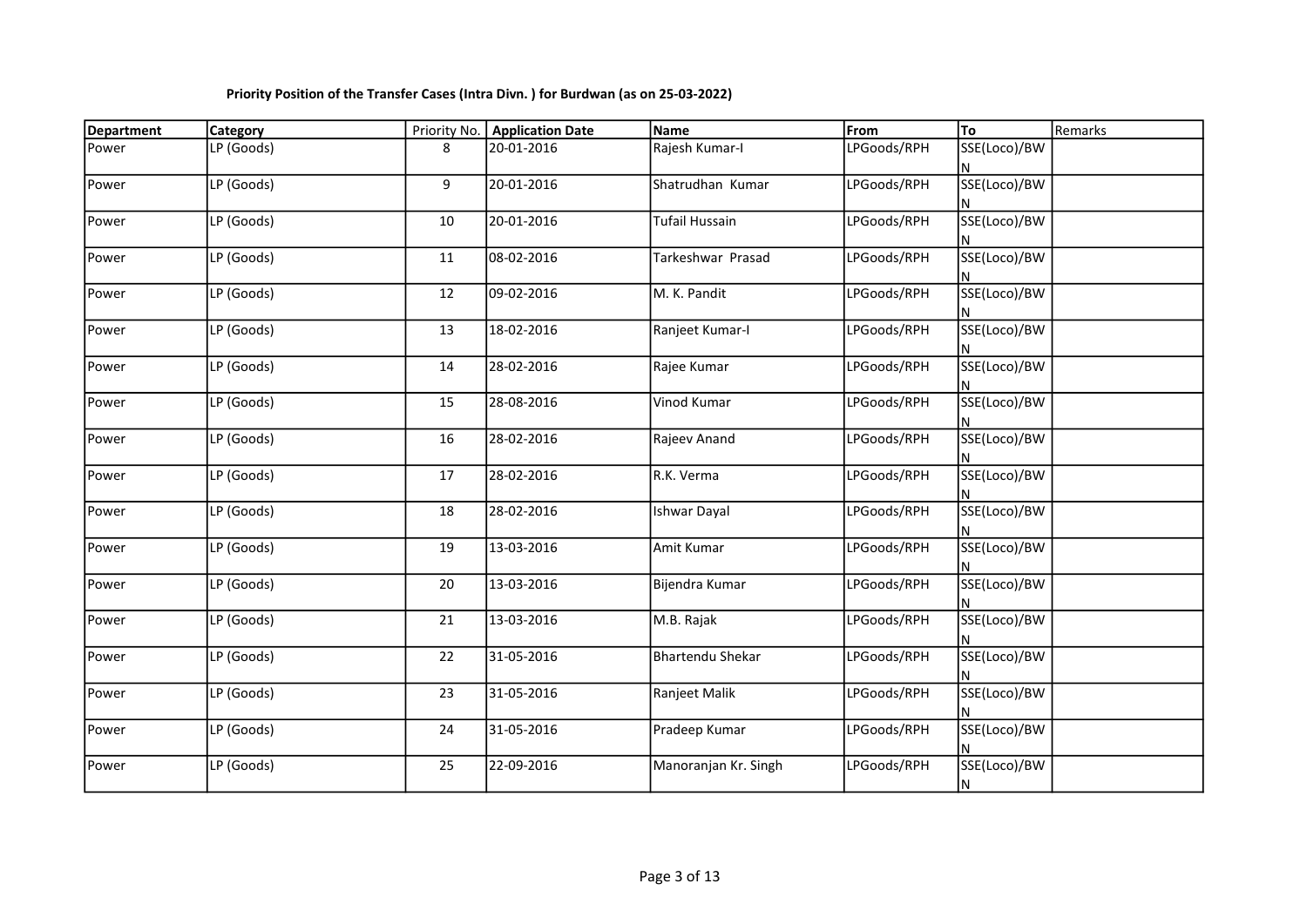| <b>Department</b> | <b>Category</b> | Priority No. | <b>Application Date</b> | Name                    | From        | To                | Remarks |
|-------------------|-----------------|--------------|-------------------------|-------------------------|-------------|-------------------|---------|
| Power             | LP (Goods)      | 8            | 20-01-2016              | Rajesh Kumar-I          | LPGoods/RPH | SSE(Loco)/BW      |         |
| Power             | LP (Goods)      | 9            | 20-01-2016              | Shatrudhan Kumar        | LPGoods/RPH | SSE(Loco)/BW      |         |
| Power             | LP (Goods)      | 10           | 20-01-2016              | Tufail Hussain          | LPGoods/RPH | SSE(Loco)/BW      |         |
| Power             | LP (Goods)      | 11           | 08-02-2016              | Tarkeshwar Prasad       | LPGoods/RPH | SSE(Loco)/BW      |         |
| Power             | LP (Goods)      | 12           | 09-02-2016              | M. K. Pandit            | LPGoods/RPH | SSE(Loco)/BW      |         |
| Power             | LP (Goods)      | 13           | 18-02-2016              | Ranjeet Kumar-I         | LPGoods/RPH | SSE(Loco)/BW      |         |
| Power             | LP (Goods)      | 14           | 28-02-2016              | Rajee Kumar             | LPGoods/RPH | SSE(Loco)/BW      |         |
| Power             | LP (Goods)      | 15           | 28-08-2016              | Vinod Kumar             | LPGoods/RPH | SSE(Loco)/BW      |         |
| Power             | LP (Goods)      | 16           | 28-02-2016              | Rajeev Anand            | LPGoods/RPH | SSE(Loco)/BW      |         |
| Power             | LP (Goods)      | 17           | 28-02-2016              | R.K. Verma              | LPGoods/RPH | SSE(Loco)/BW      |         |
| Power             | LP (Goods)      | 18           | 28-02-2016              | <b>Ishwar Dayal</b>     | LPGoods/RPH | SSE(Loco)/BW      |         |
| Power             | LP (Goods)      | 19           | 13-03-2016              | Amit Kumar              | LPGoods/RPH | SSE(Loco)/BW      |         |
| Power             | LP (Goods)      | 20           | 13-03-2016              | Bijendra Kumar          | LPGoods/RPH | SSE(Loco)/BW      |         |
| Power             | LP (Goods)      | 21           | 13-03-2016              | M.B. Rajak              | LPGoods/RPH | SSE(Loco)/BW      |         |
| Power             | LP (Goods)      | 22           | 31-05-2016              | <b>Bhartendu Shekar</b> | LPGoods/RPH | SSE(Loco)/BW      |         |
| Power             | LP (Goods)      | 23           | 31-05-2016              | Ranjeet Malik           | LPGoods/RPH | SSE(Loco)/BW      |         |
| Power             | LP (Goods)      | 24           | 31-05-2016              | Pradeep Kumar           | LPGoods/RPH | SSE(Loco)/BW      |         |
| Power             | LP (Goods)      | 25           | 22-09-2016              | Manoranjan Kr. Singh    | LPGoods/RPH | SSE(Loco)/BW<br>N |         |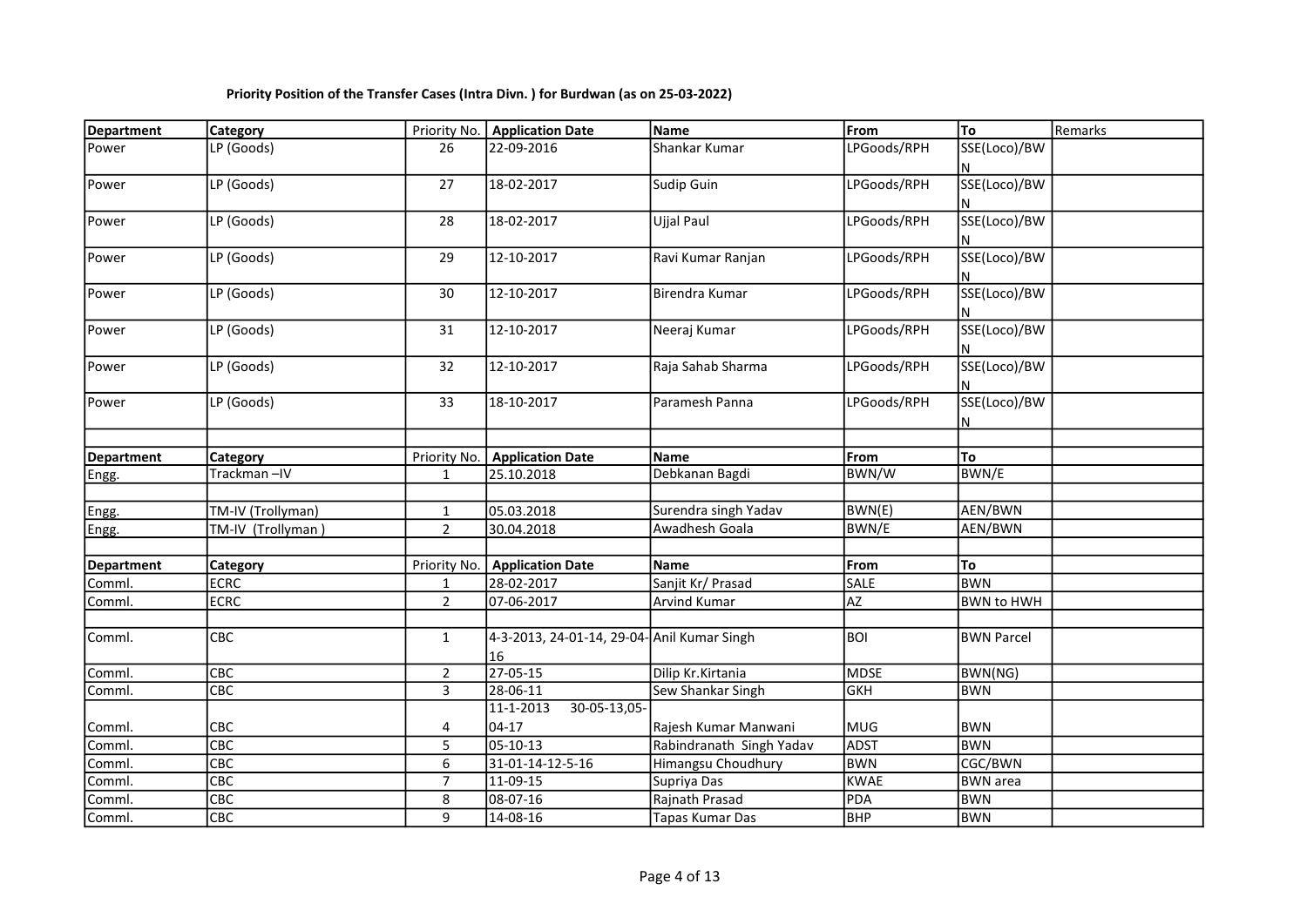| <b>Department</b> | <b>Category</b>   | Priority No.   | <b>Application Date</b>                           | Name                     | From        | To                | Remarks |
|-------------------|-------------------|----------------|---------------------------------------------------|--------------------------|-------------|-------------------|---------|
| Power             | LP (Goods)        | 26             | 22-09-2016                                        | Shankar Kumar            | LPGoods/RPH | SSE(Loco)/BW      |         |
| Power             | LP (Goods)        | 27             | 18-02-2017                                        | Sudip Guin               | LPGoods/RPH | SSE(Loco)/BW      |         |
| Power             | LP (Goods)        | 28             | 18-02-2017                                        | Ujjal Paul               | LPGoods/RPH | SSE(Loco)/BW<br>N |         |
| Power             | LP (Goods)        | 29             | 12-10-2017                                        | Ravi Kumar Ranjan        | LPGoods/RPH | SSE(Loco)/BW<br>N |         |
| Power             | LP (Goods)        | 30             | 12-10-2017                                        | Birendra Kumar           | LPGoods/RPH | SSE(Loco)/BW<br>N |         |
| Power             | LP (Goods)        | 31             | 12-10-2017                                        | Neeraj Kumar             | LPGoods/RPH | SSE(Loco)/BW<br>N |         |
| Power             | LP (Goods)        | 32             | 12-10-2017                                        | Raja Sahab Sharma        | LPGoods/RPH | SSE(Loco)/BW      |         |
| Power             | LP (Goods)        | 33             | 18-10-2017                                        | Paramesh Panna           | LPGoods/RPH | SSE(Loco)/BW<br>N |         |
|                   |                   |                |                                                   |                          |             |                   |         |
| <b>Department</b> | Category          | Priority No.   | <b>Application Date</b>                           | <b>Name</b>              | From        | To                |         |
| Engg.             | Trackman-IV       | $\mathbf{1}$   | 25.10.2018                                        | Debkanan Bagdi           | BWN/W       | <b>BWN/E</b>      |         |
|                   |                   |                |                                                   |                          |             |                   |         |
| Engg.             | TM-IV (Trollyman) | $\mathbf{1}$   | 05.03.2018                                        | Surendra singh Yadav     | BWN(E)      | AEN/BWN           |         |
| Engg.             | TM-IV (Trollyman) | $\overline{2}$ | 30.04.2018                                        | Awadhesh Goala           | BWN/E       | AEN/BWN           |         |
|                   |                   |                |                                                   |                          |             |                   |         |
| <b>Department</b> | <b>Category</b>   | Priority No.   | <b>Application Date</b>                           | Name                     | From        | To                |         |
| Comml.            | <b>ECRC</b>       | $\mathbf{1}$   | 28-02-2017                                        | Sanjit Kr/ Prasad        | SALE        | <b>BWN</b>        |         |
| Comml.            | <b>ECRC</b>       | $\overline{2}$ | 07-06-2017                                        | <b>Arvind Kumar</b>      | <b>AZ</b>   | <b>BWN to HWH</b> |         |
|                   |                   |                |                                                   |                          |             |                   |         |
| Comml.            | CBC               | $\mathbf{1}$   | 4-3-2013, 24-01-14, 29-04- Anil Kumar Singh<br>16 |                          | <b>BOI</b>  | <b>BWN Parcel</b> |         |
| Comml.            | CBC               | $\overline{2}$ | $27 - 05 - 15$                                    | Dilip Kr.Kirtania        | <b>MDSE</b> | BWN(NG)           |         |
| Comml.            | CBC               | 3              | 28-06-11                                          | Sew Shankar Singh        | <b>GKH</b>  | <b>BWN</b>        |         |
|                   |                   |                | $11 - 1 - 2013$<br>$30 - 05 - 13,05$              |                          |             |                   |         |
| Comml.            | CBC               | 4              | 04-17                                             | Rajesh Kumar Manwani     | MUG         | <b>BWN</b>        |         |
| Comml.            | CBC               | 5              | 05-10-13                                          | Rabindranath Singh Yadav | <b>ADST</b> | <b>BWN</b>        |         |
| Comml.            | CBC               | 6              | 31-01-14-12-5-16                                  | Himangsu Choudhury       | <b>BWN</b>  | CGC/BWN           |         |
| Comml.            | CEC               | $\overline{7}$ | 11-09-15                                          | Supriya Das              | <b>KWAE</b> | <b>BWN</b> area   |         |
| Comml.            | CBC               | 8              | 08-07-16                                          | Rajnath Prasad           | PDA         | <b>BWN</b>        |         |
| Comml.            | CBC               | 9              | 14-08-16                                          | Tapas Kumar Das          | <b>BHP</b>  | <b>BWN</b>        |         |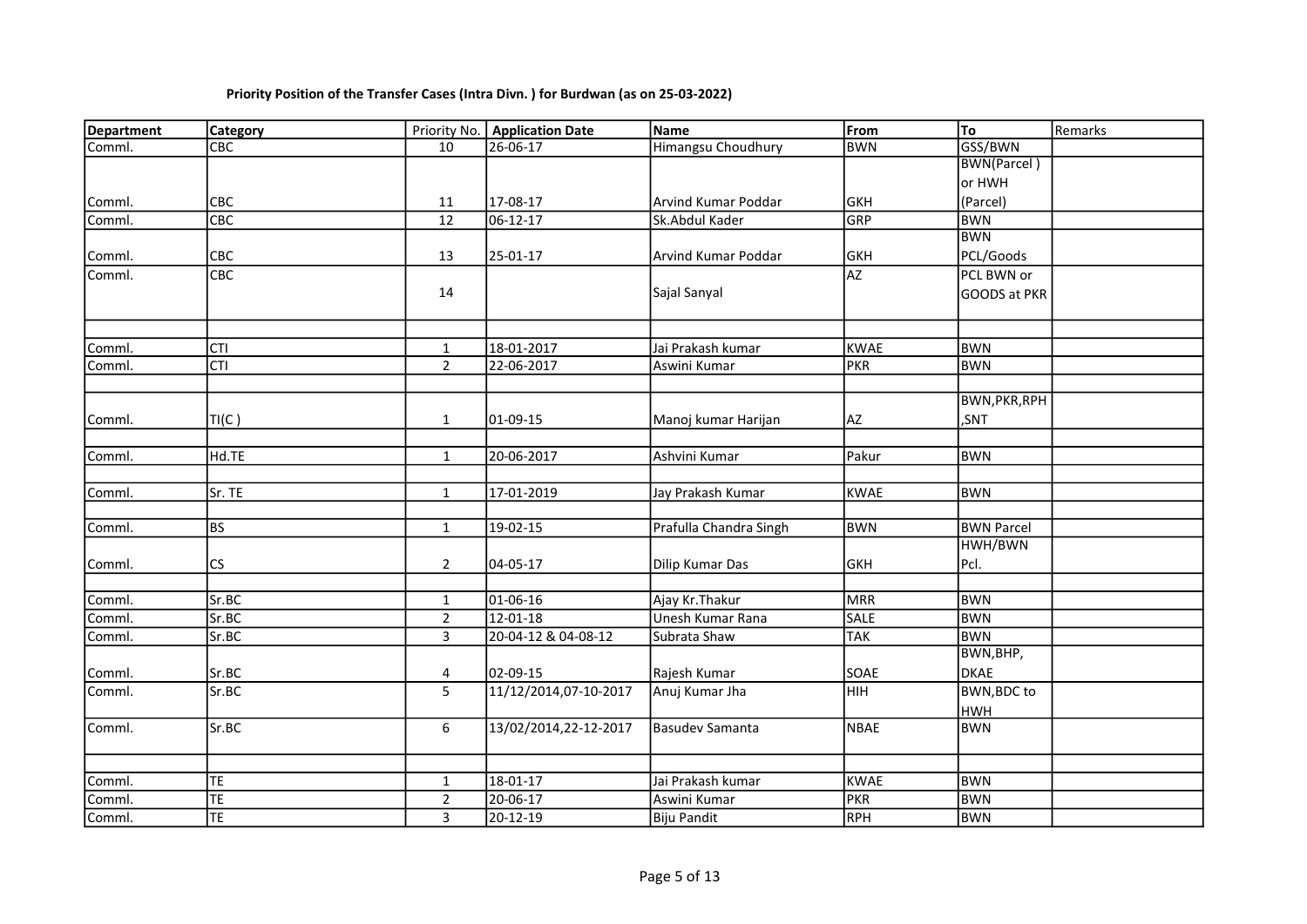| Department | <b>Category</b>         |                | Priority No.   Application Date | Name                   | From        | To                   | Remarks |
|------------|-------------------------|----------------|---------------------------------|------------------------|-------------|----------------------|---------|
| Comml.     | $\overline{\text{CBC}}$ | 10             | $26 - 06 - 17$                  | Himangsu Choudhury     | BWN         | GSS/BWN              |         |
|            |                         |                |                                 |                        |             | <b>BWN(Parcel)</b>   |         |
|            |                         |                |                                 |                        |             | or HWH               |         |
| Comml.     | CBC                     | 11             | 17-08-17                        | lArvind Kumar Poddar   | GKH         | (Parcel)             |         |
| Comml.     | CBC                     | 12             | 06-12-17                        | Sk.Abdul Kader         | GRP         | <b>BWN</b>           |         |
|            |                         |                |                                 |                        |             | <b>BWN</b>           |         |
| Comml.     | CBC                     | 13             | 25-01-17                        | Arvind Kumar Poddar    | GKH         | PCL/Goods            |         |
| Comml.     | CBC                     |                |                                 |                        | AZ          | PCL BWN or           |         |
|            |                         | 14             |                                 | Sajal Sanyal           |             | <b>GOODS at PKR</b>  |         |
|            |                         |                |                                 |                        |             |                      |         |
|            |                         |                |                                 |                        |             |                      |         |
| Comml.     | <b>CTI</b>              | 1              | 18-01-2017                      | Jai Prakash kumar      | <b>KWAE</b> | <b>BWN</b>           |         |
| Comml.     | <b>CTI</b>              | $\overline{2}$ | 22-06-2017                      | Aswini Kumar           | PKR         | <b>BWN</b>           |         |
|            |                         |                |                                 |                        |             |                      |         |
|            |                         |                |                                 |                        |             | <b>BWN, PKR, RPH</b> |         |
| Comml.     | TI(C)                   | $\mathbf{1}$   | 01-09-15                        | Manoj kumar Harijan    | AZ.         | ,SNT                 |         |
|            |                         |                |                                 |                        |             |                      |         |
| Comml.     | Hd.TE                   | $\mathbf{1}$   | 20-06-2017                      | Ashvini Kumar          | Pakur       | <b>BWN</b>           |         |
|            |                         |                |                                 |                        |             |                      |         |
| Comml.     | Sr. TE                  | $\mathbf{1}$   | 17-01-2019                      | Jay Prakash Kumar      | <b>KWAE</b> | <b>BWN</b>           |         |
|            |                         |                |                                 |                        |             |                      |         |
| Comml.     | <b>BS</b>               | $\mathbf{1}$   | 19-02-15                        | Prafulla Chandra Singh | <b>BWN</b>  | <b>BWN Parcel</b>    |         |
|            |                         |                |                                 |                        |             | HWH/BWN              |         |
| Comml.     | <b>CS</b>               | $\overline{2}$ | 04-05-17                        | Dilip Kumar Das        | <b>GKH</b>  | Pcl.                 |         |
|            |                         |                |                                 |                        |             |                      |         |
| Comml.     | Sr.BC                   | $\mathbf{1}$   | 01-06-16                        | Ajay Kr. Thakur        | MRR         | <b>BWN</b>           |         |
| Comml.     | Sr.BC                   | $\overline{2}$ | 12-01-18                        | Unesh Kumar Rana       | <b>SALE</b> | <b>BWN</b>           |         |
| Comml.     | Sr.BC                   | 3              | 20-04-12 & 04-08-12             | Subrata Shaw           | <b>TAK</b>  | <b>BWN</b>           |         |
|            |                         |                |                                 |                        |             | BWN, BHP,            |         |
| Comml.     | Sr.BC                   | 4              | 02-09-15                        | Rajesh Kumar           | SOAE        | <b>DKAE</b>          |         |
| Comml.     | Sr.BC                   | 5              | 11/12/2014,07-10-2017           | Anuj Kumar Jha         | нін         | <b>BWN, BDC to</b>   |         |
|            |                         |                |                                 |                        |             | <b>HWH</b>           |         |
| Comml.     | Sr.BC                   | 6              | 13/02/2014,22-12-2017           | Basudev Samanta        | <b>NBAE</b> | <b>BWN</b>           |         |
|            |                         |                |                                 |                        |             |                      |         |
|            |                         |                |                                 |                        |             |                      |         |
| Comml.     | TE                      | $\mathbf{1}$   | 18-01-17                        | Jai Prakash kumar      | <b>KWAE</b> | <b>BWN</b>           |         |
| Comml.     | TΕ                      | $\overline{2}$ | 20-06-17                        | Aswini Kumar           | PKR         | <b>BWN</b>           |         |
| Comml.     | TE                      | $\mathbf{3}$   | 20-12-19                        | <b>Biju Pandit</b>     | RPH         | <b>BWN</b>           |         |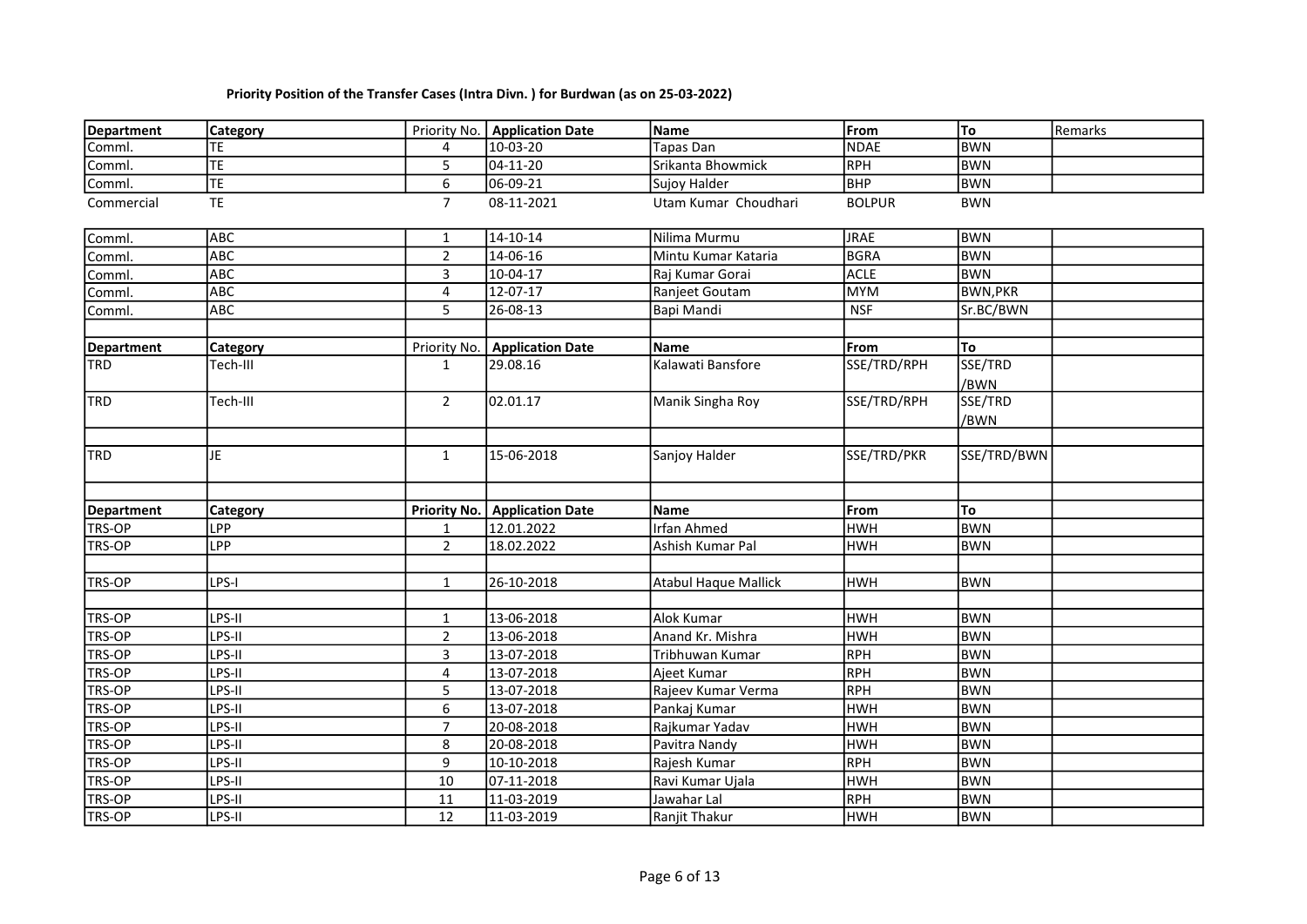| Department        | <b>Category</b>        |                | Priority No.   Application Date | Name                        | From          | To              | Remarks |
|-------------------|------------------------|----------------|---------------------------------|-----------------------------|---------------|-----------------|---------|
| Comml.            | TЕ                     | 4              | 10-03-20                        | Tapas Dan                   | <b>NDAE</b>   | <b>BWN</b>      |         |
| Comml.            | TE.                    | 5              | 04-11-20                        | Srikanta Bhowmick           | RPH           | <b>BWN</b>      |         |
| Comml.            | $\overline{\text{TE}}$ | 6              | 06-09-21                        | Sujoy Halder                | BHP           | <b>BWN</b>      |         |
| Commercial        | <b>TE</b>              | $\overline{7}$ | 08-11-2021                      | Utam Kumar Choudhari        | <b>BOLPUR</b> | <b>BWN</b>      |         |
| Comml.            | ABC                    | $\mathbf{1}$   | 14-10-14                        | Nilima Murmu                | <b>JRAE</b>   | <b>BWN</b>      |         |
| Comml.            | <b>ABC</b>             | $\overline{2}$ | 14-06-16                        | Mintu Kumar Kataria         | BGRA          | <b>BWN</b>      |         |
| Comml.            | <b>ABC</b>             | 3              | 10-04-17                        | Raj Kumar Gorai             | <b>ACLE</b>   | <b>BWN</b>      |         |
| Comml.            | <b>ABC</b>             | 4              | 12-07-17                        | Ranjeet Goutam              | MYM           | <b>BWN, PKR</b> |         |
| Comml.            | <b>ABC</b>             | $\overline{5}$ | 26-08-13                        | Bapi Mandi                  | <b>NSF</b>    | Sr.BC/BWN       |         |
| Department        | <b>Category</b>        | Priority No.   | <b>Application Date</b>         | Name                        | From          | To              |         |
| <b>I</b> TRD      | Tech-III               | $\mathbf{1}$   | 29.08.16                        | Kalawati Bansfore           | SSE/TRD/RPH   | SSE/TRD         |         |
|                   |                        |                |                                 |                             |               | /BWN            |         |
| <b>TRD</b>        | Tech-III               | $\overline{2}$ | 02.01.17                        | Manik Singha Roy            | SSE/TRD/RPH   | SSE/TRD<br>/BWN |         |
|                   |                        |                |                                 |                             |               |                 |         |
| <b>TRD</b>        | JE.                    | $\mathbf{1}$   | 15-06-2018                      | Sanjoy Halder               | SSE/TRD/PKR   | SSE/TRD/BWN     |         |
|                   |                        |                |                                 |                             |               |                 |         |
| <b>Department</b> | Category               |                | Priority No.   Application Date | <b>Name</b>                 | From          | To              |         |
| <b>TRS-OP</b>     | LPP                    | 1              | 12.01.2022                      | <b>Irfan Ahmed</b>          | <b>HWH</b>    | <b>BWN</b>      |         |
| <b>TRS-OP</b>     | LPP                    | $\overline{2}$ | 18.02.2022                      | Ashish Kumar Pal            | <b>HWH</b>    | <b>BWN</b>      |         |
|                   |                        |                |                                 |                             |               |                 |         |
| <b>TRS-OP</b>     | LPS-I                  | $\mathbf{1}$   | 26-10-2018                      | <b>Atabul Haque Mallick</b> | <b>HWH</b>    | <b>BWN</b>      |         |
|                   |                        |                |                                 | Alok Kumar                  | <b>HWH</b>    | <b>BWN</b>      |         |
| TRS-OP            | LPS-II                 | $\mathbf{1}$   | 13-06-2018                      |                             | <b>HWH</b>    | <b>BWN</b>      |         |
| TRS-OP            | LPS-II                 | $\overline{2}$ | 13-06-2018                      | Anand Kr. Mishra            | RPH           | <b>BWN</b>      |         |
| TRS-OP            | LPS-II                 | 3              | 13-07-2018                      | Tribhuwan Kumar             | RPH           | <b>BWN</b>      |         |
| TRS-OP            | LPS-II                 | 4              | 13-07-2018                      | Ajeet Kumar                 | RPH           | <b>BWN</b>      |         |
| <b>TRS-OP</b>     | LPS-II                 | 5              | 13-07-2018                      | Rajeev Kumar Verma          |               |                 |         |
| <b>TRS-OP</b>     | LPS-II                 | 6              | 13-07-2018                      | Pankaj Kumar                | <b>HWH</b>    | <b>BWN</b>      |         |
| TRS-OP            | LPS-II                 | $\overline{7}$ | 20-08-2018                      | Rajkumar Yadav              | <b>HWH</b>    | <b>BWN</b>      |         |
| <b>TRS-OP</b>     | LPS-II                 | 8              | 20-08-2018                      | Pavitra Nandy               | <b>HWH</b>    | <b>BWN</b>      |         |
| TRS-OP            | LPS-II                 | 9              | 10-10-2018                      | Rajesh Kumar                | RPH           | <b>BWN</b>      |         |
| <b>TRS-OP</b>     | LPS-II                 | 10             | 07-11-2018                      | Ravi Kumar Ujala            | <b>HWH</b>    | <b>BWN</b>      |         |
| <b>TRS-OP</b>     | LPS-II                 | 11             | 11-03-2019                      | Jawahar Lal                 | RPH           | <b>BWN</b>      |         |
| TRS-OP            | LPS-II                 | 12             | 11-03-2019                      | Ranjit Thakur               | <b>HWH</b>    | <b>BWN</b>      |         |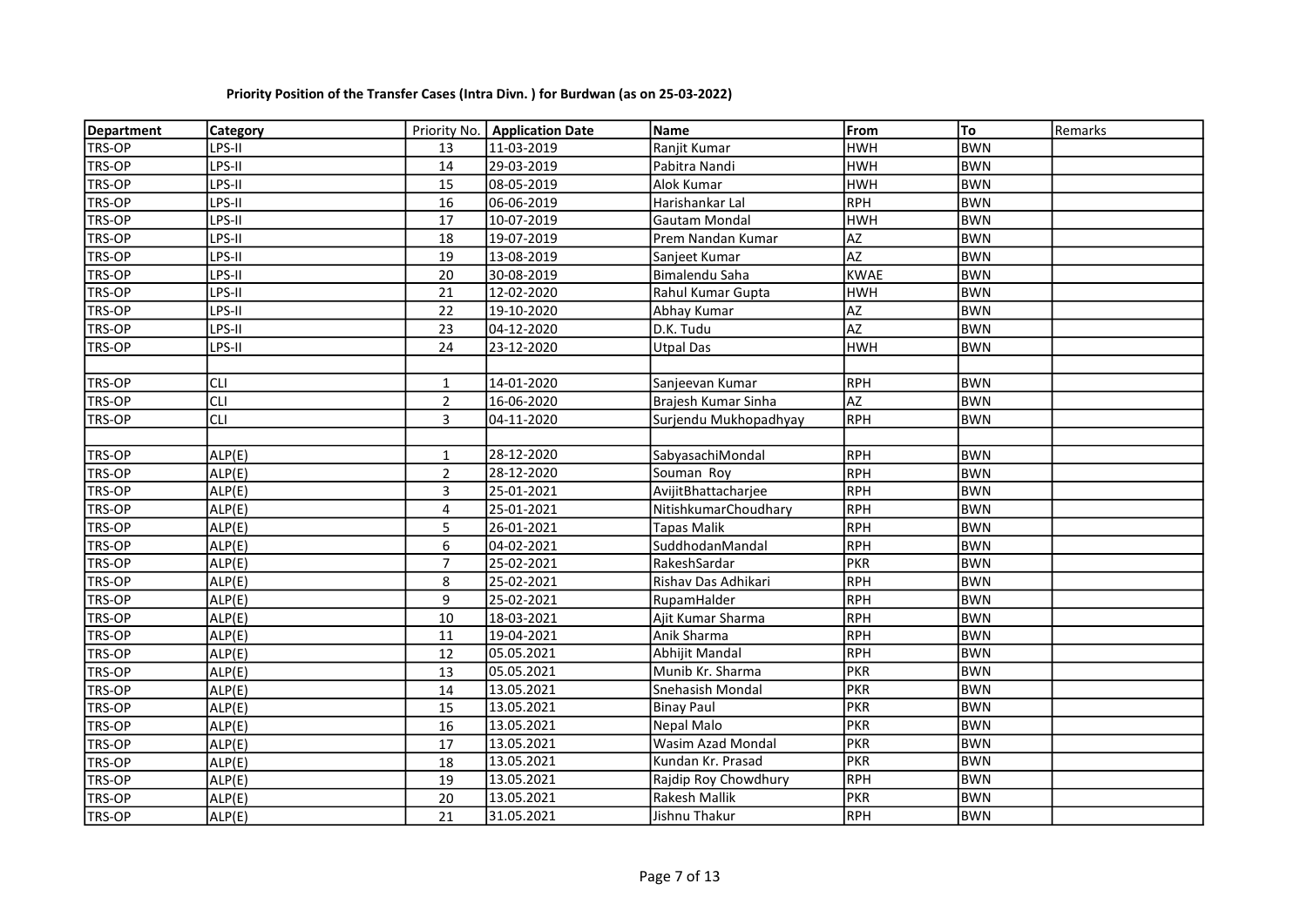| Department    | Category   |                | Priority No.   Application Date | <b>Name</b>           | <b>From</b>     | To         | Remarks |
|---------------|------------|----------------|---------------------------------|-----------------------|-----------------|------------|---------|
| TRS-OP        | LPS-II     | 13             | 11-03-2019                      | Ranjit Kumar          | <b>HWH</b>      | <b>BWN</b> |         |
| TRS-OP        | LPS-II     | 14             | 29-03-2019                      | Pabitra Nandi         | <b>HWH</b>      | <b>BWN</b> |         |
| TRS-OP        | LPS-II     | 15             | 08-05-2019                      | Alok Kumar            | <b>HWH</b>      | <b>BWN</b> |         |
| TRS-OP        | LPS-II     | 16             | 06-06-2019                      | Harishankar Lal       | RPH             | <b>BWN</b> |         |
| TRS-OP        | LPS-II     | 17             | 10-07-2019                      | <b>Gautam Mondal</b>  | <b>HWH</b>      | <b>BWN</b> |         |
| <b>TRS-OP</b> | LPS-II     | 18             | 19-07-2019                      | Prem Nandan Kumar     | <b>AZ</b>       | <b>BWN</b> |         |
| <b>TRS-OP</b> | LPS-II     | 19             | 13-08-2019                      | Sanjeet Kumar         | $\overline{AZ}$ | <b>BWN</b> |         |
| <b>TRS-OP</b> | LPS-II     | 20             | 30-08-2019                      | Bimalendu Saha        | <b>KWAE</b>     | <b>BWN</b> |         |
| TRS-OP        | LPS-II     | 21             | 12-02-2020                      | Rahul Kumar Gupta     | <b>HWH</b>      | <b>BWN</b> |         |
| TRS-OP        | LPS-II     | 22             | 19-10-2020                      | Abhay Kumar           | <b>AZ</b>       | <b>BWN</b> |         |
| TRS-OP        | LPS-II     | 23             | 04-12-2020                      | D.K. Tudu             | <b>AZ</b>       | <b>BWN</b> |         |
| TRS-OP        | LPS-II     | 24             | 23-12-2020                      | Utpal Das             | <b>HWH</b>      | <b>BWN</b> |         |
|               |            |                |                                 |                       |                 |            |         |
| TRS-OP        | <b>CLI</b> | $\mathbf{1}$   | 14-01-2020                      | Sanjeevan Kumar       | RPH             | <b>BWN</b> |         |
| TRS-OP        | <b>CLI</b> | $\overline{2}$ | 16-06-2020                      | Brajesh Kumar Sinha   | AZ              | <b>BWN</b> |         |
| TRS-OP        | <b>CLI</b> | 3              | 04-11-2020                      | Surjendu Mukhopadhyay | RPH             | <b>BWN</b> |         |
|               |            |                |                                 |                       |                 |            |         |
| <b>TRS-OP</b> | ALP(E)     | $\mathbf{1}$   | 28-12-2020                      | SabyasachiMondal      | RPH             | <b>BWN</b> |         |
| TRS-OP        | ALP(E)     | $\overline{2}$ | 28-12-2020                      | Souman Roy            | RPH             | <b>BWN</b> |         |
| TRS-OP        | ALP(E)     | 3              | 25-01-2021                      | AvijitBhattacharjee   | RPH             | <b>BWN</b> |         |
| TRS-OP        | ALP(E)     | 4              | 25-01-2021                      | NitishkumarChoudhary  | RPH             | <b>BWN</b> |         |
| TRS-OP        | ALP(E)     | 5              | 26-01-2021                      | Tapas Malik           | RPH             | <b>BWN</b> |         |
| TRS-OP        | ALP(E)     | 6              | 04-02-2021                      | SuddhodanMandal       | RPH             | <b>BWN</b> |         |
| TRS-OP        | ALP(E)     | $\overline{7}$ | 25-02-2021                      | RakeshSardar          | PKR             | <b>BWN</b> |         |
| TRS-OP        | ALP(E)     | 8              | 25-02-2021                      | Rishav Das Adhikari   | RPH             | <b>BWN</b> |         |
| TRS-OP        | ALP(E)     | 9              | 25-02-2021                      | RupamHalder           | RPH             | <b>BWN</b> |         |
| TRS-OP        | ALP(E)     | 10             | 18-03-2021                      | Ajit Kumar Sharma     | RPH             | <b>BWN</b> |         |
| TRS-OP        | ALP(E)     | 11             | 19-04-2021                      | Anik Sharma           | RPH             | <b>BWN</b> |         |
| <b>TRS-OP</b> | ALP(E)     | 12             | 05.05.2021                      | Abhijit Mandal        | RPH             | <b>BWN</b> |         |
| TRS-OP        | ALP(E)     | 13             | 05.05.2021                      | Munib Kr. Sharma      | PKR             | <b>BWN</b> |         |
| <b>TRS-OP</b> | ALP(E)     | 14             | 13.05.2021                      | Snehasish Mondal      | PKR             | <b>BWN</b> |         |
| TRS-OP        | ALP(E)     | 15             | 13.05.2021                      | <b>Binay Paul</b>     | PKR             | <b>BWN</b> |         |
| TRS-OP        | ALP(E)     | 16             | 13.05.2021                      | Nepal Malo            | PKR             | <b>BWN</b> |         |
| TRS-OP        | ALP(E)     | 17             | 13.05.2021                      | Wasim Azad Mondal     | PKR             | <b>BWN</b> |         |
| TRS-OP        | ALP(E)     | 18             | 13.05.2021                      | Kundan Kr. Prasad     | PKR             | <b>BWN</b> |         |
| TRS-OP        | ALP(E)     | 19             | 13.05.2021                      | Rajdip Roy Chowdhury  | RPH             | <b>BWN</b> |         |
| TRS-OP        | ALP(E)     | 20             | 13.05.2021                      | Rakesh Mallik         | PKR             | <b>BWN</b> |         |
| TRS-OP        | ALP(E)     | 21             | 31.05.2021                      | Jishnu Thakur         | RPH             | <b>BWN</b> |         |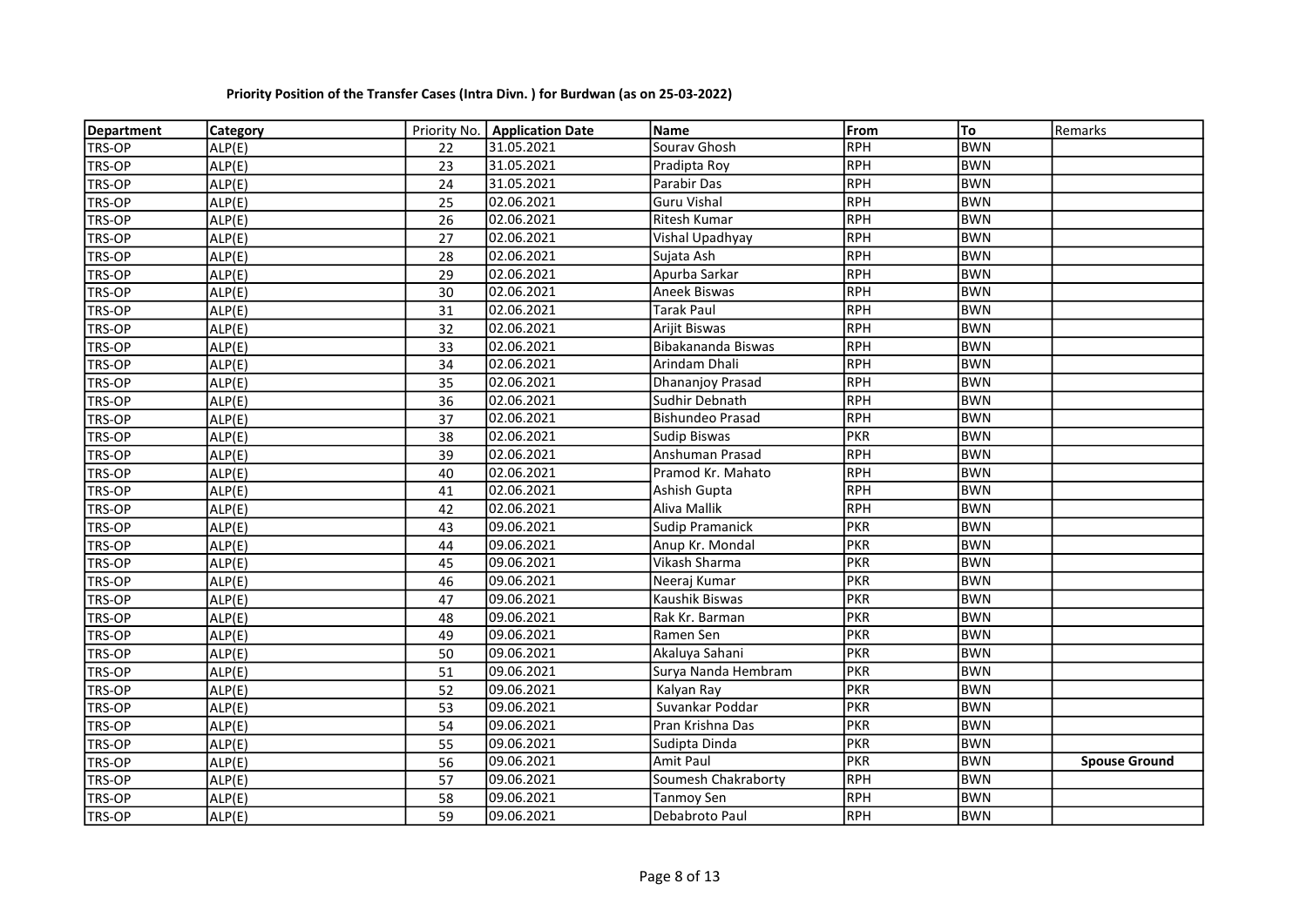| <b>Department</b> | <b>Category</b> |    | Priority No.   Application Date | Name                    | From       | To         | Remarks              |
|-------------------|-----------------|----|---------------------------------|-------------------------|------------|------------|----------------------|
| TRS-OP            | ALP(E)          | 22 | 31.05.2021                      | Sourav Ghosh            | <b>RPH</b> | <b>BWN</b> |                      |
| TRS-OP            | ALP(E)          | 23 | 31.05.2021                      | Pradipta Roy            | RPH        | <b>BWN</b> |                      |
| TRS-OP            | ALP(E)          | 24 | 31.05.2021                      | Parabir Das             | <b>RPH</b> | <b>BWN</b> |                      |
| TRS-OP            | ALP(E)          | 25 | 02.06.2021                      | <b>Guru Vishal</b>      | RPH        | <b>BWN</b> |                      |
| <b>TRS-OP</b>     | ALP(E)          | 26 | 02.06.2021                      | Ritesh Kumar            | <b>RPH</b> | <b>BWN</b> |                      |
| TRS-OP            | ALP(E)          | 27 | 02.06.2021                      | Vishal Upadhyay         | <b>RPH</b> | <b>BWN</b> |                      |
| TRS-OP            | ALP(E)          | 28 | 02.06.2021                      | Sujata Ash              | <b>RPH</b> | <b>BWN</b> |                      |
| TRS-OP            | ALP(E)          | 29 | 02.06.2021                      | Apurba Sarkar           | <b>RPH</b> | <b>BWN</b> |                      |
| TRS-OP            | ALP(E)          | 30 | 02.06.2021                      | Aneek Biswas            | <b>RPH</b> | <b>BWN</b> |                      |
| TRS-OP            | ALP(E)          | 31 | 02.06.2021                      | Tarak Paul              | RPH        | <b>BWN</b> |                      |
| TRS-OP            | ALP(E)          | 32 | 02.06.2021                      | Arijit Biswas           | <b>RPH</b> | <b>BWN</b> |                      |
| TRS-OP            | ALP(E)          | 33 | 02.06.2021                      | Bibakananda Biswas      | <b>RPH</b> | <b>BWN</b> |                      |
| TRS-OP            | ALP(E)          | 34 | 02.06.2021                      | Arindam Dhali           | <b>RPH</b> | <b>BWN</b> |                      |
| TRS-OP            | ALP(E)          | 35 | 02.06.2021                      | Dhananjoy Prasad        | <b>RPH</b> | <b>BWN</b> |                      |
| TRS-OP            | ALP(E)          | 36 | 02.06.2021                      | Sudhir Debnath          | <b>RPH</b> | <b>BWN</b> |                      |
| <b>TRS-OP</b>     | ALP(E)          | 37 | 02.06.2021                      | <b>Bishundeo Prasad</b> | <b>RPH</b> | <b>BWN</b> |                      |
| TRS-OP            | ALP(E)          | 38 | 02.06.2021                      | <b>Sudip Biswas</b>     | <b>PKR</b> | <b>BWN</b> |                      |
| TRS-OP            | ALP(E)          | 39 | 02.06.2021                      | Anshuman Prasad         | <b>RPH</b> | <b>BWN</b> |                      |
| TRS-OP            | ALP(E)          | 40 | 02.06.2021                      | Pramod Kr. Mahato       | <b>RPH</b> | <b>BWN</b> |                      |
| TRS-OP            | ALP(E)          | 41 | 02.06.2021                      | Ashish Gupta            | <b>RPH</b> | <b>BWN</b> |                      |
| TRS-OP            | ALP(E)          | 42 | 02.06.2021                      | Aliva Mallik            | <b>RPH</b> | <b>BWN</b> |                      |
| TRS-OP            | ALP(E)          | 43 | 09.06.2021                      | <b>Sudip Pramanick</b>  | <b>PKR</b> | <b>BWN</b> |                      |
| TRS-OP            | ALP(E)          | 44 | 09.06.2021                      | Anup Kr. Mondal         | <b>PKR</b> | <b>BWN</b> |                      |
| TRS-OP            | ALP(E)          | 45 | 09.06.2021                      | Vikash Sharma           | <b>PKR</b> | <b>BWN</b> |                      |
| TRS-OP            | ALP(E)          | 46 | 09.06.2021                      | Neeraj Kumar            | <b>PKR</b> | <b>BWN</b> |                      |
| TRS-OP            | ALP(E)          | 47 | 09.06.2021                      | Kaushik Biswas          | <b>PKR</b> | <b>BWN</b> |                      |
| TRS-OP            | ALP(E)          | 48 | 09.06.2021                      | Rak Kr. Barman          | <b>PKR</b> | <b>BWN</b> |                      |
| TRS-OP            | ALP(E)          | 49 | 09.06.2021                      | Ramen Sen               | <b>PKR</b> | <b>BWN</b> |                      |
| TRS-OP            | ALP(E)          | 50 | 09.06.2021                      | Akaluya Sahani          | <b>PKR</b> | <b>BWN</b> |                      |
| TRS-OP            | ALP(E)          | 51 | 09.06.2021                      | Surya Nanda Hembram     | PKR        | <b>BWN</b> |                      |
| TRS-OP            | ALP(E)          | 52 | 09.06.2021                      | Kalyan Ray              | <b>PKR</b> | <b>BWN</b> |                      |
| TRS-OP            | ALP(E)          | 53 | 09.06.2021                      | Suvankar Poddar         | <b>PKR</b> | <b>BWN</b> |                      |
| TRS-OP            | ALP(E)          | 54 | 09.06.2021                      | Pran Krishna Das        | <b>PKR</b> | <b>BWN</b> |                      |
| TRS-OP            | ALP(E)          | 55 | 09.06.2021                      | Sudipta Dinda           | <b>PKR</b> | <b>BWN</b> |                      |
| TRS-OP            | ALP(E)          | 56 | 09.06.2021                      | Amit Paul               | <b>PKR</b> | <b>BWN</b> | <b>Spouse Ground</b> |
| TRS-OP            | ALP(E)          | 57 | 09.06.2021                      | Soumesh Chakraborty     | <b>RPH</b> | <b>BWN</b> |                      |
| TRS-OP            | ALP(E)          | 58 | 09.06.2021                      | Tanmoy Sen              | <b>RPH</b> | <b>BWN</b> |                      |
| <b>TRS-OP</b>     | ALP(E)          | 59 | 09.06.2021                      | Debabroto Paul          | <b>RPH</b> | <b>BWN</b> |                      |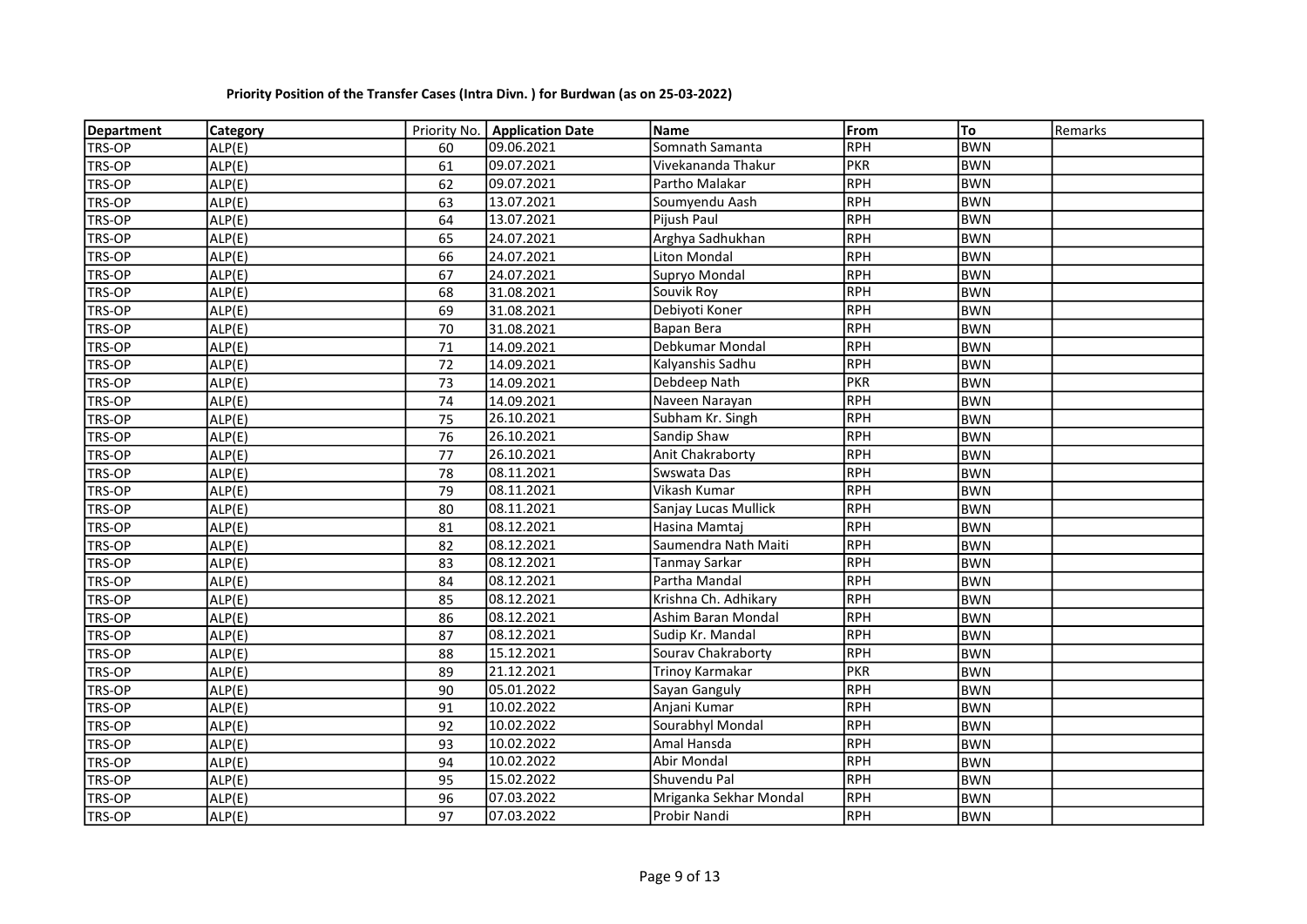| <b>Department</b> | <b>Category</b> |    | Priority No.   Application Date | Name                   | From       | To         | Remarks |
|-------------------|-----------------|----|---------------------------------|------------------------|------------|------------|---------|
| TRS-OP            | ALP(E)          | 60 | 09.06.2021                      | Somnath Samanta        | RPH        | <b>BWN</b> |         |
| TRS-OP            | ALP(E)          | 61 | 09.07.2021                      | Vivekananda Thakur     | <b>PKR</b> | <b>BWN</b> |         |
| TRS-OP            | ALP(E)          | 62 | 09.07.2021                      | Partho Malakar         | <b>RPH</b> | <b>BWN</b> |         |
| TRS-OP            | ALP(E)          | 63 | 13.07.2021                      | Soumyendu Aash         | RPH        | <b>BWN</b> |         |
| TRS-OP            | ALP(E)          | 64 | 13.07.2021                      | Pijush Paul            | <b>RPH</b> | <b>BWN</b> |         |
| <b>TRS-OP</b>     | ALP(E)          | 65 | 24.07.2021                      | Arghya Sadhukhan       | <b>RPH</b> | <b>BWN</b> |         |
| TRS-OP            | ALP(E)          | 66 | 24.07.2021                      | <b>Liton Mondal</b>    | <b>RPH</b> | <b>BWN</b> |         |
| TRS-OP            | ALP(E)          | 67 | 24.07.2021                      | Supryo Mondal          | <b>RPH</b> | <b>BWN</b> |         |
| <b>TRS-OP</b>     | ALP(E)          | 68 | 31.08.2021                      | Souvik Roy             | <b>RPH</b> | <b>BWN</b> |         |
| TRS-OP            | ALP(E)          | 69 | 31.08.2021                      | Debiyoti Koner         | RPH        | <b>BWN</b> |         |
| TRS-OP            | ALP(E)          | 70 | 31.08.2021                      | Bapan Bera             | RPH        | <b>BWN</b> |         |
| TRS-OP            | ALP(E)          | 71 | 14.09.2021                      | Debkumar Mondal        | <b>RPH</b> | <b>BWN</b> |         |
| TRS-OP            | ALP(E)          | 72 | 14.09.2021                      | Kalyanshis Sadhu       | RPH        | <b>BWN</b> |         |
| <b>TRS-OP</b>     | ALP(E)          | 73 | 14.09.2021                      | Debdeep Nath           | <b>PKR</b> | <b>BWN</b> |         |
| TRS-OP            | ALP(E)          | 74 | 14.09.2021                      | Naveen Narayan         | <b>RPH</b> | <b>BWN</b> |         |
| TRS-OP            | ALP(E)          | 75 | 26.10.2021                      | Subham Kr. Singh       | <b>RPH</b> | <b>BWN</b> |         |
| <b>TRS-OP</b>     | ALP(E)          | 76 | 26.10.2021                      | Sandip Shaw            | <b>RPH</b> | <b>BWN</b> |         |
| TRS-OP            | ALP(E)          | 77 | 26.10.2021                      | Anit Chakraborty       | <b>RPH</b> | <b>BWN</b> |         |
| TRS-OP            | ALP(E)          | 78 | 08.11.2021                      | Swswata Das            | <b>RPH</b> | <b>BWN</b> |         |
| TRS-OP            | ALP(E)          | 79 | 08.11.2021                      | Vikash Kumar           | <b>RPH</b> | <b>BWN</b> |         |
| TRS-OP            | ALP(E)          | 80 | 08.11.2021                      | Sanjay Lucas Mullick   | <b>RPH</b> | <b>BWN</b> |         |
| TRS-OP            | ALP(E)          | 81 | 08.12.2021                      | Hasina Mamtaj          | RPH        | <b>BWN</b> |         |
| TRS-OP            | ALP(E)          | 82 | 08.12.2021                      | Saumendra Nath Maiti   | RPH        | <b>BWN</b> |         |
| TRS-OP            | ALP(E)          | 83 | 08.12.2021                      | <b>Tanmay Sarkar</b>   | RPH        | <b>BWN</b> |         |
| TRS-OP            | ALP(E)          | 84 | 08.12.2021                      | Partha Mandal          | RPH        | <b>BWN</b> |         |
| <b>TRS-OP</b>     | ALP(E)          | 85 | 08.12.2021                      | Krishna Ch. Adhikary   | <b>RPH</b> | <b>BWN</b> |         |
| <b>TRS-OP</b>     | ALP(E)          | 86 | 08.12.2021                      | Ashim Baran Mondal     | RPH        | <b>BWN</b> |         |
| <b>TRS-OP</b>     | ALP(E)          | 87 | 08.12.2021                      | Sudip Kr. Mandal       | <b>RPH</b> | <b>BWN</b> |         |
| <b>TRS-OP</b>     | ALP(E)          | 88 | 15.12.2021                      | Sourav Chakraborty     | <b>RPH</b> | <b>BWN</b> |         |
| TRS-OP            | ALP(E)          | 89 | 21.12.2021                      | Trinoy Karmakar        | <b>PKR</b> | <b>BWN</b> |         |
| TRS-OP            | ALP(E)          | 90 | 05.01.2022                      | Sayan Ganguly          | <b>RPH</b> | <b>BWN</b> |         |
| <b>TRS-OP</b>     | ALP(E)          | 91 | 10.02.2022                      | Anjani Kumar           | RPH        | <b>BWN</b> |         |
| TRS-OP            | ALP(E)          | 92 | 10.02.2022                      | Sourabhyl Mondal       | RPH        | <b>BWN</b> |         |
| TRS-OP            | ALP(E)          | 93 | 10.02.2022                      | Amal Hansda            | RPH        | <b>BWN</b> |         |
| TRS-OP            | ALP(E)          | 94 | 10.02.2022                      | Abir Mondal            | <b>RPH</b> | <b>BWN</b> |         |
| TRS-OP            | ALP(E)          | 95 | 15.02.2022                      | Shuvendu Pal           | <b>RPH</b> | <b>BWN</b> |         |
| TRS-OP            | ALP(E)          | 96 | 07.03.2022                      | Mriganka Sekhar Mondal | <b>RPH</b> | <b>BWN</b> |         |
| <b>TRS-OP</b>     | ALP(E)          | 97 | 07.03.2022                      | Probir Nandi           | <b>RPH</b> | <b>BWN</b> |         |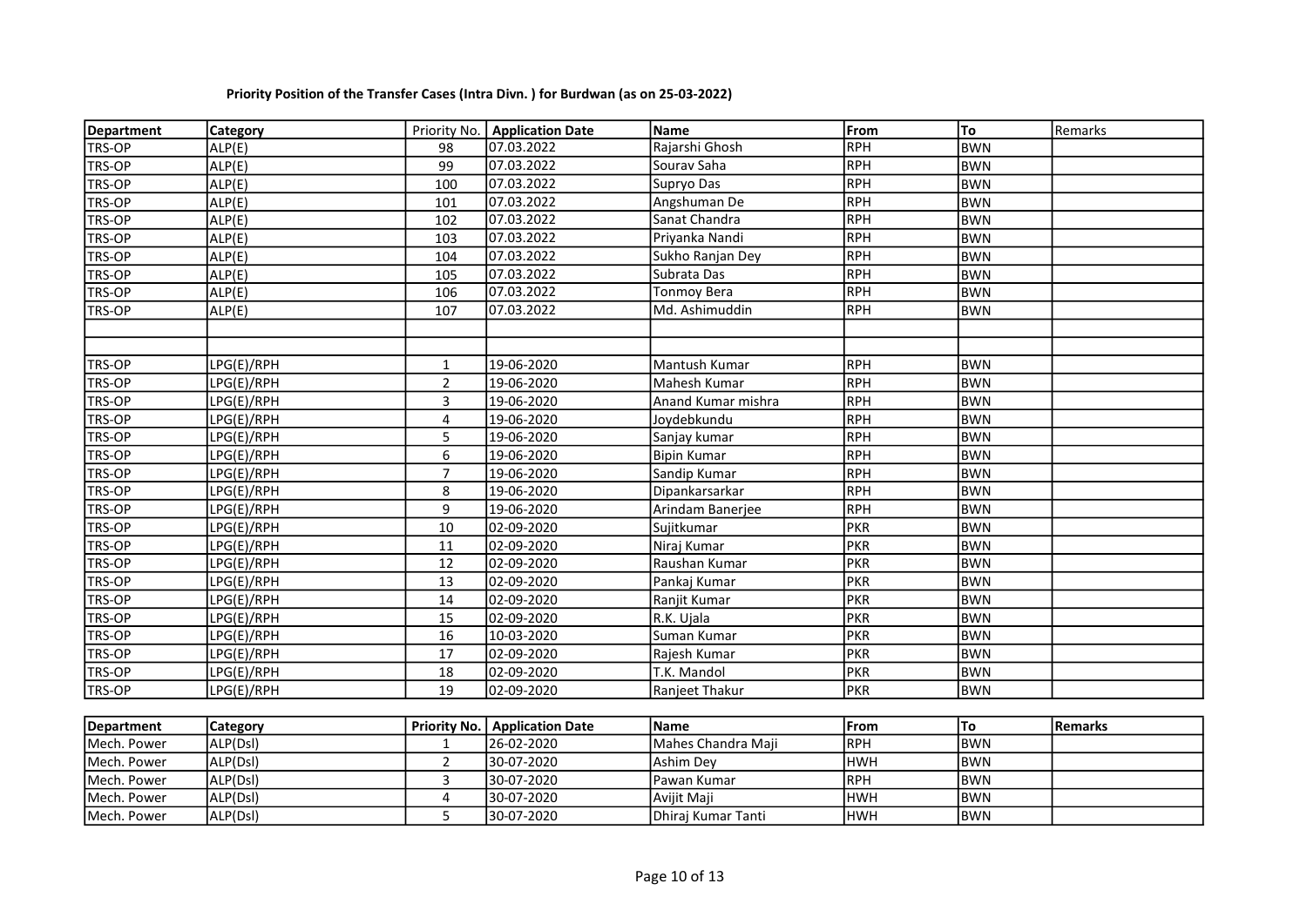| Department    | <b>Category</b> |                     | Priority No.   Application Date | <b>Name</b>        | lFrom      | To         | Remarks        |
|---------------|-----------------|---------------------|---------------------------------|--------------------|------------|------------|----------------|
| TRS-OP        | ALP(E)          | 98                  | 07.03.2022                      | Rajarshi Ghosh     | RPH        | <b>BWN</b> |                |
| TRS-OP        | ALP(E)          | 99                  | 07.03.2022                      | Sourav Saha        | RPH        | <b>BWN</b> |                |
| TRS-OP        | ALP(E)          | 100                 | 07.03.2022                      | Supryo Das         | RPH        | BWN        |                |
| <b>TRS-OP</b> | ALP(E)          | 101                 | 07.03.2022                      | Angshuman De       | <b>RPH</b> | <b>BWN</b> |                |
| TRS-OP        | ALP(E)          | 102                 | 07.03.2022                      | Sanat Chandra      | RPH        | <b>BWN</b> |                |
| TRS-OP        | ALP(E)          | 103                 | 07.03.2022                      | Priyanka Nandi     | <b>RPH</b> | <b>BWN</b> |                |
| <b>TRS-OP</b> | ALP(E)          | 104                 | 07.03.2022                      | Sukho Ranjan Dey   | <b>RPH</b> | <b>BWN</b> |                |
| <b>TRS-OP</b> | ALP(E)          | 105                 | 07.03.2022                      | Subrata Das        | <b>RPH</b> | <b>BWN</b> |                |
| TRS-OP        | ALP(E)          | 106                 | 07.03.2022                      | <b>Tonmoy Bera</b> | <b>RPH</b> | <b>BWN</b> |                |
| TRS-OP        | ALP(E)          | 107                 | 07.03.2022                      | Md. Ashimuddin     | <b>RPH</b> | <b>BWN</b> |                |
|               |                 |                     |                                 |                    |            |            |                |
|               |                 |                     |                                 |                    |            |            |                |
| TRS-OP        | LPG(E)/RPH      | 1                   | 19-06-2020                      | Mantush Kumar      | <b>RPH</b> | <b>BWN</b> |                |
| TRS-OP        | LPG(E)/RPH      | $\mathbf 2$         | 19-06-2020                      | Mahesh Kumar       | <b>RPH</b> | <b>BWN</b> |                |
| <b>TRS-OP</b> | LPG(E)/RPH      | 3                   | 19-06-2020                      | Anand Kumar mishra | <b>RPH</b> | <b>BWN</b> |                |
| TRS-OP        | LPG(E)/RPH      | 4                   | 19-06-2020                      | Joydebkundu        | <b>RPH</b> | <b>BWN</b> |                |
| <b>TRS-OP</b> | LPG(E)/RPH      | 5                   | 19-06-2020                      | Sanjay kumar       | <b>RPH</b> | <b>BWN</b> |                |
| TRS-OP        | LPG(E)/RPH      | 6                   | 19-06-2020                      | <b>Bipin Kumar</b> | <b>RPH</b> | <b>BWN</b> |                |
| <b>TRS-OP</b> | LPG(E)/RPH      | $\overline{7}$      | 19-06-2020                      | Sandip Kumar       | <b>RPH</b> | <b>BWN</b> |                |
| TRS-OP        | LPG(E)/RPH      | 8                   | 19-06-2020                      | Dipankarsarkar     | <b>RPH</b> | <b>BWN</b> |                |
| TRS-OP        | LPG(E)/RPH      | 9                   | 19-06-2020                      | Arindam Banerjee   | <b>RPH</b> | <b>BWN</b> |                |
| TRS-OP        | LPG(E)/RPH      | $10\,$              | 02-09-2020                      | Sujitkumar         | <b>PKR</b> | <b>BWN</b> |                |
| TRS-OP        | LPG(E)/RPH      | 11                  | 02-09-2020                      | Niraj Kumar        | <b>PKR</b> | <b>BWN</b> |                |
| TRS-OP        | LPG(E)/RPH      | 12                  | 02-09-2020                      | Raushan Kumar      | <b>PKR</b> | <b>BWN</b> |                |
| TRS-OP        | LPG(E)/RPH      | 13                  | 02-09-2020                      | Pankaj Kumar       | <b>PKR</b> | <b>BWN</b> |                |
| TRS-OP        | LPG(E)/RPH      | 14                  | 02-09-2020                      | Ranjit Kumar       | <b>PKR</b> | <b>BWN</b> |                |
| TRS-OP        | LPG(E)/RPH      | 15                  | 02-09-2020                      | R.K. Ujala         | <b>PKR</b> | <b>BWN</b> |                |
| TRS-OP        | LPG(E)/RPH      | 16                  | 10-03-2020                      | Suman Kumar        | <b>PKR</b> | <b>BWN</b> |                |
| <b>TRS-OP</b> | LPG(E)/RPH      | 17                  | 02-09-2020                      | Rajesh Kumar       | <b>PKR</b> | <b>BWN</b> |                |
| <b>TRS-OP</b> | LPG(E)/RPH      | 18                  | 02-09-2020                      | T.K. Mandol        | <b>PKR</b> | <b>BWN</b> |                |
| TRS-OP        | LPG(E)/RPH      | 19                  | 02-09-2020                      | Ranjeet Thakur     | <b>PKR</b> | <b>BWN</b> |                |
|               |                 |                     |                                 |                    |            |            |                |
| Department    | Category        | <b>Priority No.</b> | <b>Application Date</b>         | <b>Name</b>        | From       | To         | <b>Remarks</b> |
| Mech. Power   | ALP(Dsl)        | 1                   | 26-02-2020                      | Mahes Chandra Maji | <b>RPH</b> | <b>BWN</b> |                |
| Mech. Power   | ALP(Dsl)        | $\overline{2}$      | 30-07-2020                      | Ashim Dey          | <b>HWH</b> | <b>BWN</b> |                |
| Mech. Power   | ALP(Dsl)        | 3                   | 30-07-2020                      | Pawan Kumar        | <b>RPH</b> | <b>BWN</b> |                |
| Mech. Power   | ALP(Dsl)        | 4                   | 30-07-2020                      | Avijit Maji        | <b>HWH</b> | <b>BWN</b> |                |
| Mech. Power   | ALP(Dsl)        | 5                   | 30-07-2020                      | Dhiraj Kumar Tanti | <b>HWH</b> | <b>BWN</b> |                |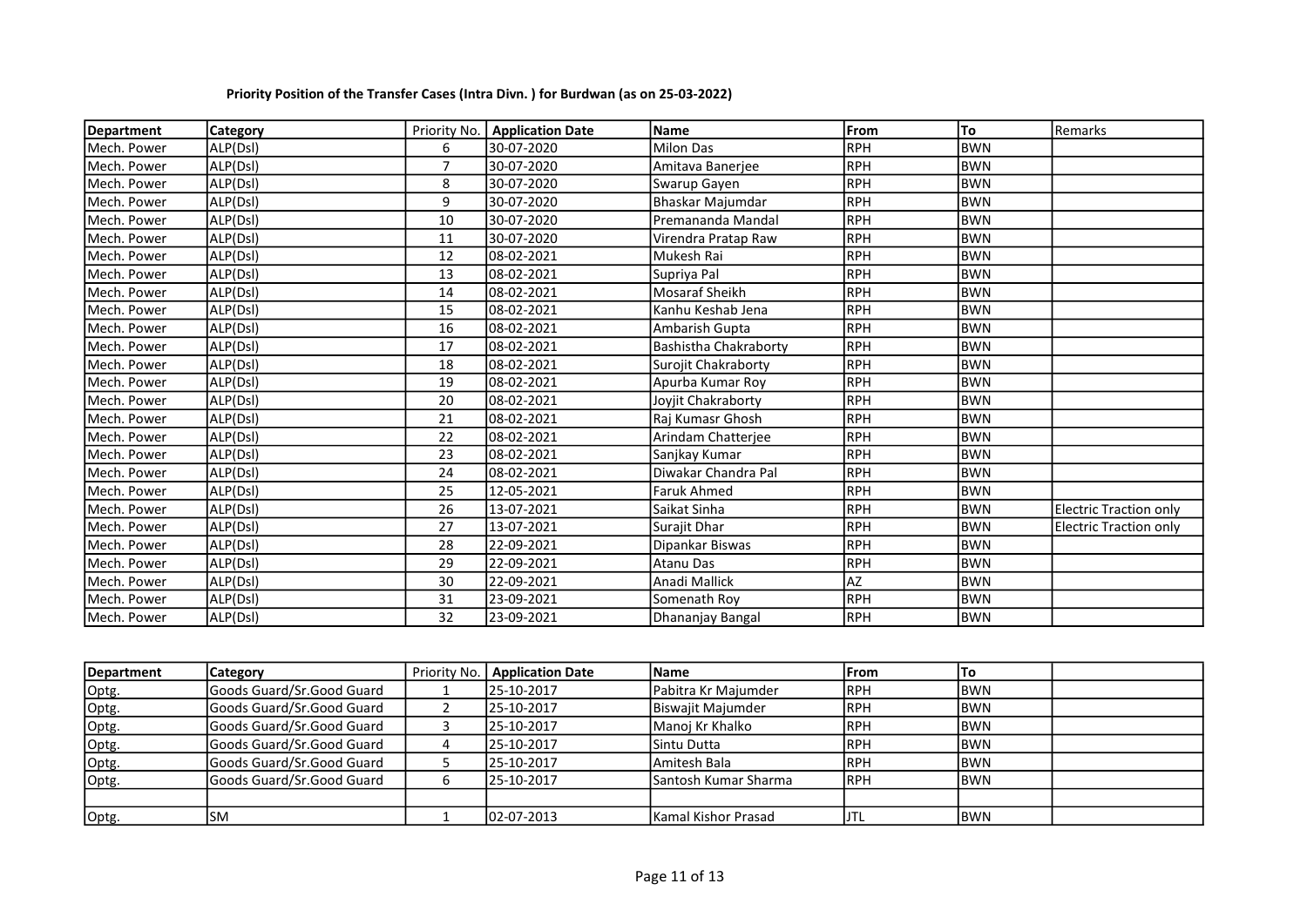| Department  | Category |                | Priority No.   Application Date | Name                  | <b>IFrom</b> | To         | Remarks                       |
|-------------|----------|----------------|---------------------------------|-----------------------|--------------|------------|-------------------------------|
| Mech. Power | ALP(Dsl) | 6              | 30-07-2020                      | <b>Milon Das</b>      | RPH          | <b>BWN</b> |                               |
| Mech. Power | ALP(Dsl) | $\overline{7}$ | 30-07-2020                      | Amitava Banerjee      | RPH          | <b>BWN</b> |                               |
| Mech. Power | ALP(Dsl) | 8              | 30-07-2020                      | Swarup Gayen          | RPH          | <b>BWN</b> |                               |
| Mech. Power | ALP(Dsl) | 9              | 30-07-2020                      | Bhaskar Majumdar      | RPH          | <b>BWN</b> |                               |
| Mech. Power | ALP(Dsl) | 10             | 30-07-2020                      | Premananda Mandal     | RPH          | <b>BWN</b> |                               |
| Mech. Power | ALP(Dsl) | 11             | 30-07-2020                      | Virendra Pratap Raw   | IRPH         | <b>BWN</b> |                               |
| Mech. Power | ALP(Dsl) | 12             | 08-02-2021                      | Mukesh Rai            | RPH          | <b>BWN</b> |                               |
| Mech. Power | ALP(Dsl) | 13             | 08-02-2021                      | Supriya Pal           | RPH          | <b>BWN</b> |                               |
| Mech. Power | ALP(Dsl) | 14             | 08-02-2021                      | Mosaraf Sheikh        | RPH          | <b>BWN</b> |                               |
| Mech. Power | ALP(Dsl) | 15             | 08-02-2021                      | Kanhu Keshab Jena     | RPH          | <b>BWN</b> |                               |
| Mech. Power | ALP(Dsl) | 16             | 08-02-2021                      | Ambarish Gupta        | RPH          | <b>BWN</b> |                               |
| Mech. Power | ALP(Dsl) | 17             | 08-02-2021                      | Bashistha Chakraborty | IRPH         | <b>BWN</b> |                               |
| Mech. Power | ALP(Dsl) | 18             | 08-02-2021                      | Surojit Chakraborty   | RPH          | <b>BWN</b> |                               |
| Mech. Power | ALP(Dsl) | 19             | 08-02-2021                      | Apurba Kumar Roy      | RPH          | <b>BWN</b> |                               |
| Mech. Power | ALP(Dsl) | 20             | 08-02-2021                      | Joviit Chakraborty    | IRPH         | <b>BWN</b> |                               |
| Mech. Power | ALP(Dsl) | 21             | 08-02-2021                      | Raj Kumasr Ghosh      | RPH          | <b>BWN</b> |                               |
| Mech. Power | ALP(Dsl) | 22             | 08-02-2021                      | Arindam Chatterjee    | IRPH         | <b>BWN</b> |                               |
| Mech. Power | ALP(Dsl) | 23             | 08-02-2021                      | Sanjkay Kumar         | RPH          | <b>BWN</b> |                               |
| Mech. Power | ALP(Dsl) | 24             | 08-02-2021                      | Diwakar Chandra Pal   | RPH          | <b>BWN</b> |                               |
| Mech. Power | ALP(Dsl) | 25             | 12-05-2021                      | <b>Faruk Ahmed</b>    | RPH          | <b>BWN</b> |                               |
| Mech. Power | ALP(Dsl) | 26             | 13-07-2021                      | Saikat Sinha          | RPH          | <b>BWN</b> | <b>Electric Traction only</b> |
| Mech. Power | ALP(Dsl) | 27             | 13-07-2021                      | Surajit Dhar          | RPH          | <b>BWN</b> | <b>Electric Traction only</b> |
| Mech. Power | ALP(Dsl) | 28             | 22-09-2021                      | Dipankar Biswas       | RPH          | <b>BWN</b> |                               |
| Mech. Power | ALP(Dsl) | 29             | 22-09-2021                      | Atanu Das             | RPH          | <b>BWN</b> |                               |
| Mech. Power | ALP(Dsl) | 30             | 22-09-2021                      | Anadi Mallick         | laz          | <b>BWN</b> |                               |
| Mech. Power | ALP(Dsl) | 31             | 23-09-2021                      | Somenath Roy          | RPH          | <b>BWN</b> |                               |
| Mech. Power | ALP(Dsl) | 32             | 23-09-2021                      | Dhananjay Bangal      | RPH          | <b>BWN</b> |                               |

| Department | Category                  | Priority No.   Application Date | <b>Name</b>           | lFrom       | 10          |  |
|------------|---------------------------|---------------------------------|-----------------------|-------------|-------------|--|
| Optg.      | Goods Guard/Sr.Good Guard | 25-10-2017                      | Pabitra Kr Majumder   | <b>RPH</b>  | <b>IBWN</b> |  |
| Optg.      | Goods Guard/Sr.Good Guard | 25-10-2017                      | Biswajit Majumder     | <b>IRPH</b> | <b>BWN</b>  |  |
| Optg.      | Goods Guard/Sr.Good Guard | 25-10-2017                      | Manoj Kr Khalko       | <b>IRPH</b> | <b>BWN</b>  |  |
| Optg.      | Goods Guard/Sr.Good Guard | 25-10-2017                      | ISintu Dutta          | IRPH        | <b>IBWN</b> |  |
| Optg.      | Goods Guard/Sr.Good Guard | 25-10-2017                      | lAmitesh Bala         | <b>IRPH</b> | <b>BWN</b>  |  |
| Optg.      | Goods Guard/Sr.Good Guard | 25-10-2017                      | ISantosh Kumar Sharma | <b>IRPH</b> | <b>BWN</b>  |  |
|            |                           |                                 |                       |             |             |  |
| Optg.      | ΙSΜ                       | 02-07-2013                      | Kamal Kishor Prasad   |             | <b>IBWN</b> |  |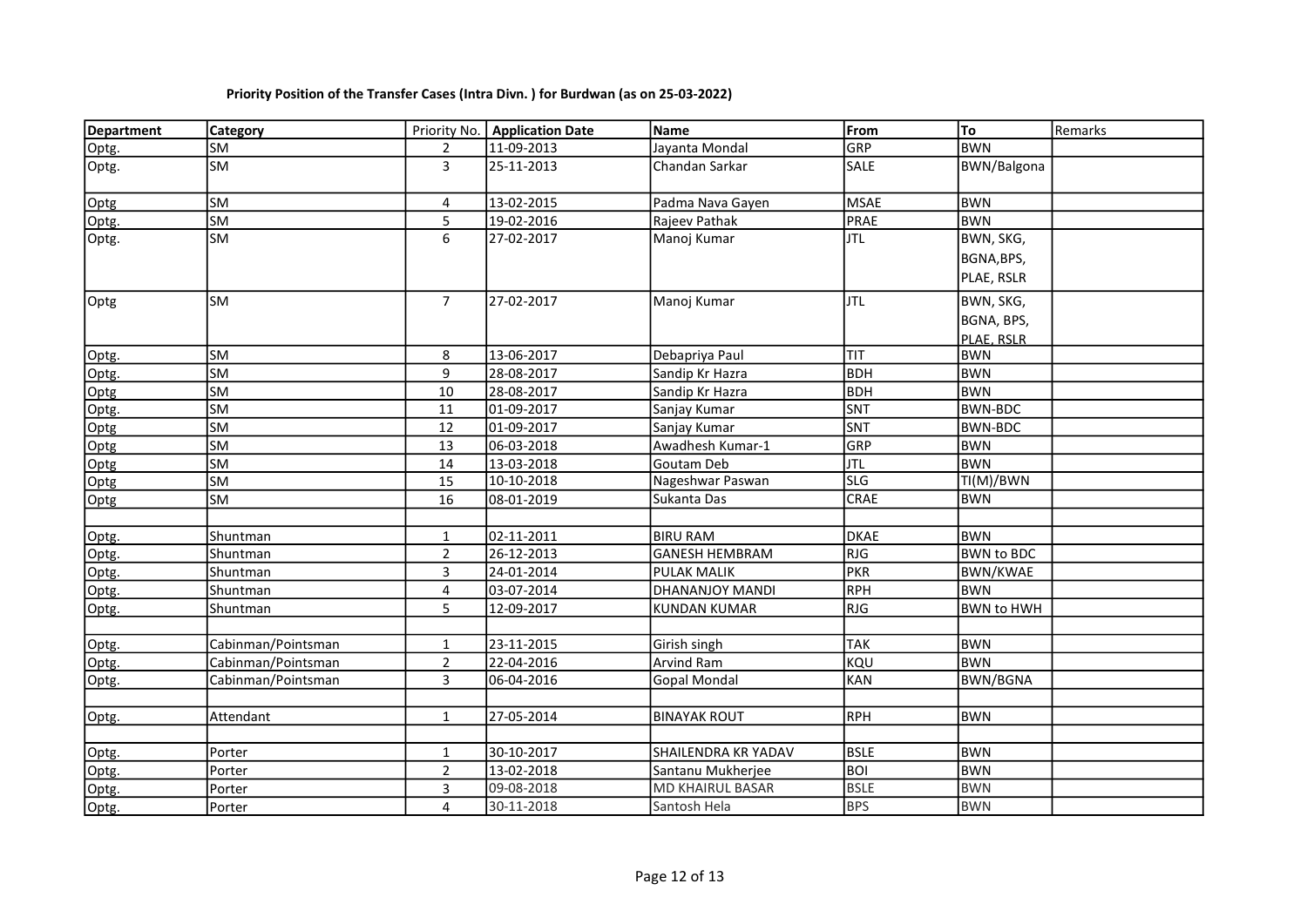| <b>Department</b> | <b>Category</b>    |                | Priority No.   Application Date | Name                  | From        | To                | Remarks |
|-------------------|--------------------|----------------|---------------------------------|-----------------------|-------------|-------------------|---------|
| Optg.             | SM                 | $\overline{2}$ | 11-09-2013                      | Jayanta Mondal        | GRP         | <b>BWN</b>        |         |
| Optg.             | SM                 | 3              | 25-11-2013                      | Chandan Sarkar        | <b>SALE</b> | BWN/Balgona       |         |
| Optg              | SM                 | 4              | 13-02-2015                      | Padma Nava Gayen      | <b>MSAE</b> | <b>BWN</b>        |         |
| Optg.             | SM                 | 5              | 19-02-2016                      | Rajeev Pathak         | PRAE        | <b>BWN</b>        |         |
|                   |                    | 6              |                                 |                       | <b>JTL</b>  |                   |         |
| Optg.             | SM                 |                | 27-02-2017                      | Manoj Kumar           |             | BWN, SKG,         |         |
|                   |                    |                |                                 |                       |             | BGNA, BPS,        |         |
|                   |                    |                |                                 |                       |             | PLAE, RSLR        |         |
| Optg              | SM                 | $7^{\circ}$    | 27-02-2017                      | Manoj Kumar           | <b>JTL</b>  | BWN, SKG,         |         |
|                   |                    |                |                                 |                       |             | BGNA, BPS,        |         |
|                   |                    |                |                                 |                       |             | PLAE, RSLR        |         |
| Optg.             | SM                 | 8              | 13-06-2017                      | Debapriya Paul        | <b>TIT</b>  | <b>BWN</b>        |         |
| Optg.             | <b>SM</b>          | 9              | 28-08-2017                      | Sandip Kr Hazra       | BDH         | <b>BWN</b>        |         |
| Optg              | <b>SM</b>          | $10\,$         | 28-08-2017                      | Sandip Kr Hazra       | <b>BDH</b>  | <b>BWN</b>        |         |
| Optg.             | <b>SM</b>          | 11             | 01-09-2017                      | Sanjay Kumar          | SNT         | <b>BWN-BDC</b>    |         |
| Optg              | <b>SM</b>          | 12             | 01-09-2017                      | Sanjay Kumar          | SNT         | BWN-BDC           |         |
| Optg              | <b>SM</b>          | 13             | 06-03-2018                      | Awadhesh Kumar-1      | GRP         | <b>BWN</b>        |         |
| Optg              | <b>SM</b>          | 14             | 13-03-2018                      | Goutam Deb            | <b>JTL</b>  | <b>BWN</b>        |         |
| Optg              | SM                 | 15             | 10-10-2018                      | Nageshwar Paswan      | <b>SLG</b>  | TI(M)/BWN         |         |
| Optg              | SM                 | 16             | 08-01-2019                      | Sukanta Das           | <b>CRAE</b> | <b>BWN</b>        |         |
|                   |                    |                |                                 |                       |             |                   |         |
| Optg.             | Shuntman           | $\mathbf{1}$   | 02-11-2011                      | <b>BIRU RAM</b>       | <b>DKAE</b> | <b>BWN</b>        |         |
| Optg.             | Shuntman           | $\overline{2}$ | 26-12-2013                      | <b>GANESH HEMBRAM</b> | RJG         | <b>BWN to BDC</b> |         |
| Optg.             | Shuntman           | 3              | 24-01-2014                      | PULAK MALIK           | PKR         | <b>BWN/KWAE</b>   |         |
| Optg.             | Shuntman           | 4              | 03-07-2014                      | DHANANJOY MANDI       | RPH         | <b>BWN</b>        |         |
| Optg.             | Shuntman           | 5              | 12-09-2017                      | <b>KUNDAN KUMAR</b>   | RJG         | <b>BWN to HWH</b> |         |
|                   |                    |                |                                 |                       |             |                   |         |
| Optg.             | Cabinman/Pointsman | $\mathbf{1}$   | 23-11-2015                      | Girish singh          | <b>TAK</b>  | <b>BWN</b>        |         |
| Optg.             | Cabinman/Pointsman | $\overline{2}$ | 22-04-2016                      | Arvind Ram            | KQU         | <b>BWN</b>        |         |
| Optg.             | Cabinman/Pointsman | 3              | 06-04-2016                      | <b>Gopal Mondal</b>   | KAN         | <b>BWN/BGNA</b>   |         |
|                   |                    |                |                                 |                       |             |                   |         |
| Optg.             | Attendant          | $\mathbf{1}$   | 27-05-2014                      | <b>BINAYAK ROUT</b>   | RPH         | <b>BWN</b>        |         |
|                   |                    |                |                                 |                       |             |                   |         |
| Optg.             | Porter             | $\mathbf{1}$   | 30-10-2017                      | SHAILENDRA KR YADAV   | BSLE        | <b>BWN</b>        |         |
| Optg.             | Porter             | $\overline{2}$ | 13-02-2018                      | Santanu Mukherjee     | BOI         | <b>BWN</b>        |         |
| Optg.             | Porter             | 3              | 09-08-2018                      | MD KHAIRUL BASAR      | <b>BSLE</b> | <b>BWN</b>        |         |
| Optg.             | Porter             | 4              | 30-11-2018                      | Santosh Hela          | <b>BPS</b>  | <b>BWN</b>        |         |